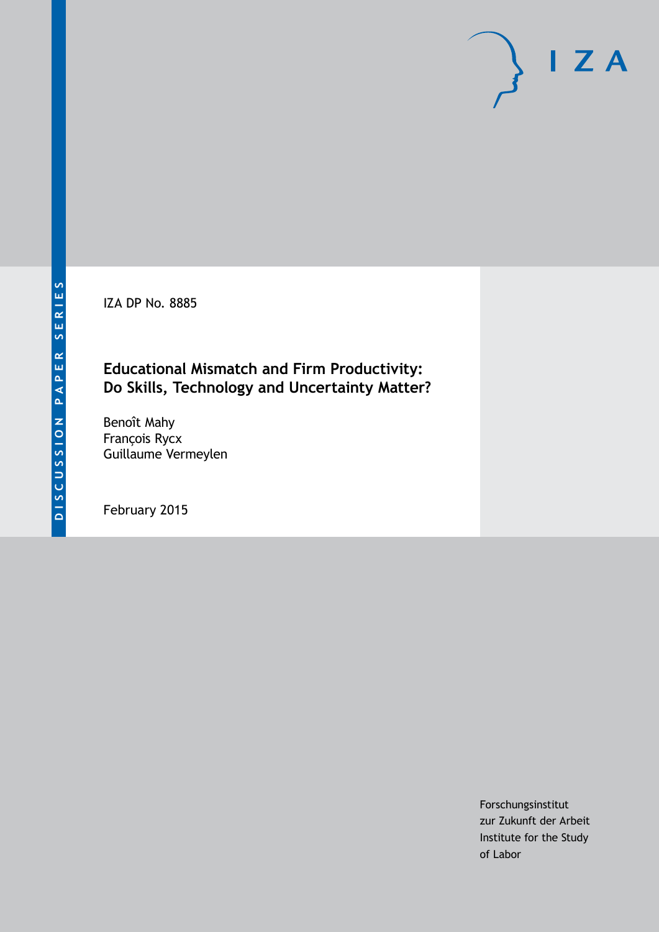IZA DP No. 8885

# **Educational Mismatch and Firm Productivity: Do Skills, Technology and Uncertainty Matter?**

Benoît Mahy François Rycx Guillaume Vermeylen

February 2015

Forschungsinstitut zur Zukunft der Arbeit Institute for the Study of Labor

 $I Z A$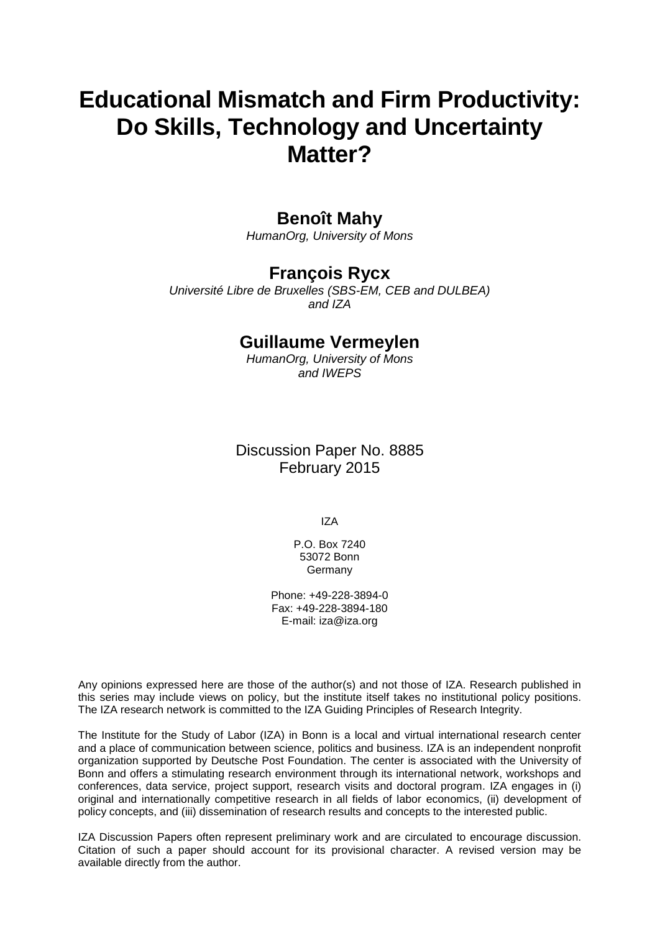# **Educational Mismatch and Firm Productivity: Do Skills, Technology and Uncertainty Matter?**

### **Benoît Mahy**

*HumanOrg, University of Mons*

### **François Rycx**

*Université Libre de Bruxelles (SBS-EM, CEB and DULBEA) and IZA*

## **Guillaume Vermeylen**

*HumanOrg, University of Mons and IWEPS*

Discussion Paper No. 8885 February 2015

IZA

P.O. Box 7240 53072 Bonn Germany

Phone: +49-228-3894-0 Fax: +49-228-3894-180 E-mail: [iza@iza.org](mailto:iza@iza.org)

Any opinions expressed here are those of the author(s) and not those of IZA. Research published in this series may include views on policy, but the institute itself takes no institutional policy positions. The IZA research network is committed to the IZA Guiding Principles of Research Integrity.

The Institute for the Study of Labor (IZA) in Bonn is a local and virtual international research center and a place of communication between science, politics and business. IZA is an independent nonprofit organization supported by Deutsche Post Foundation. The center is associated with the University of Bonn and offers a stimulating research environment through its international network, workshops and conferences, data service, project support, research visits and doctoral program. IZA engages in (i) original and internationally competitive research in all fields of labor economics, (ii) development of policy concepts, and (iii) dissemination of research results and concepts to the interested public.

<span id="page-1-0"></span>IZA Discussion Papers often represent preliminary work and are circulated to encourage discussion. Citation of such a paper should account for its provisional character. A revised version may be available directly from the author.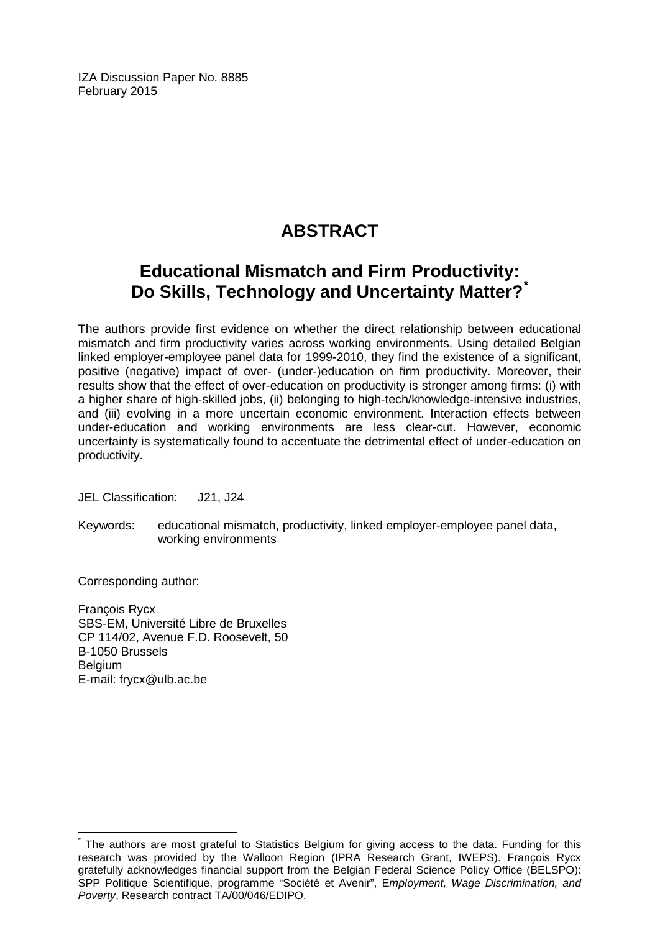IZA Discussion Paper No. 8885 February 2015

# **ABSTRACT**

# **Educational Mismatch and Firm Productivity: Do Skills, Technology and Uncertainty Matter?[\\*](#page-1-0)**

The authors provide first evidence on whether the direct relationship between educational mismatch and firm productivity varies across working environments. Using detailed Belgian linked employer-employee panel data for 1999-2010, they find the existence of a significant, positive (negative) impact of over- (under-)education on firm productivity. Moreover, their results show that the effect of over-education on productivity is stronger among firms: (i) with a higher share of high-skilled jobs, (ii) belonging to high-tech/knowledge-intensive industries, and (iii) evolving in a more uncertain economic environment. Interaction effects between under-education and working environments are less clear-cut. However, economic uncertainty is systematically found to accentuate the detrimental effect of under-education on productivity.

JEL Classification: J21, J24

Keywords: educational mismatch, productivity, linked employer-employee panel data, working environments

Corresponding author:

François Rycx SBS-EM, Université Libre de Bruxelles CP 114/02, Avenue F.D. Roosevelt, 50 B-1050 Brussels **Belgium** E-mail: frycx@ulb.ac.be

The authors are most grateful to Statistics Belgium for giving access to the data. Funding for this research was provided by the Walloon Region (IPRA Research Grant, IWEPS). François Rycx gratefully acknowledges financial support from the Belgian Federal Science Policy Office (BELSPO): SPP Politique Scientifique, programme "Société et Avenir", E*mployment, Wage Discrimination, and Poverty*, Research contract TA/00/046/EDIPO.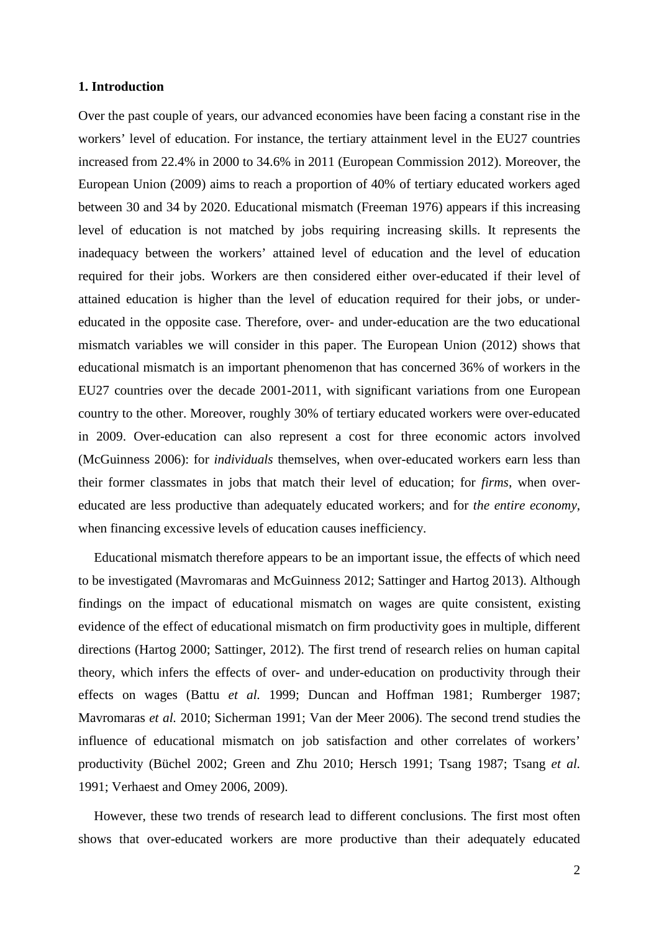#### **1. Introduction**

Over the past couple of years, our advanced economies have been facing a constant rise in the workers' level of education. For instance, the tertiary attainment level in the EU27 countries increased from 22.4% in 2000 to 34.6% in 2011 (European Commission 2012). Moreover, the European Union (2009) aims to reach a proportion of 40% of tertiary educated workers aged between 30 and 34 by 2020. Educational mismatch (Freeman 1976) appears if this increasing level of education is not matched by jobs requiring increasing skills. It represents the inadequacy between the workers' attained level of education and the level of education required for their jobs. Workers are then considered either over-educated if their level of attained education is higher than the level of education required for their jobs, or undereducated in the opposite case. Therefore, over- and under-education are the two educational mismatch variables we will consider in this paper. The European Union (2012) shows that educational mismatch is an important phenomenon that has concerned 36% of workers in the EU27 countries over the decade 2001-2011, with significant variations from one European country to the other. Moreover, roughly 30% of tertiary educated workers were over-educated in 2009. Over-education can also represent a cost for three economic actors involved (McGuinness 2006): for *individuals* themselves, when over-educated workers earn less than their former classmates in jobs that match their level of education; for *firms*, when overeducated are less productive than adequately educated workers; and for *the entire economy*, when financing excessive levels of education causes inefficiency.

Educational mismatch therefore appears to be an important issue, the effects of which need to be investigated (Mavromaras and McGuinness 2012; Sattinger and Hartog 2013). Although findings on the impact of educational mismatch on wages are quite consistent, existing evidence of the effect of educational mismatch on firm productivity goes in multiple, different directions (Hartog 2000; Sattinger, 2012). The first trend of research relies on human capital theory, which infers the effects of over- and under-education on productivity through their effects on wages (Battu *et al.* 1999; Duncan and Hoffman 1981; Rumberger 1987; Mavromaras *et al.* 2010; Sicherman 1991; Van der Meer 2006). The second trend studies the influence of educational mismatch on job satisfaction and other correlates of workers' productivity (Büchel 2002; Green and Zhu 2010; Hersch 1991; Tsang 1987; Tsang *et al.* 1991; Verhaest and Omey 2006, 2009).

However, these two trends of research lead to different conclusions. The first most often shows that over-educated workers are more productive than their adequately educated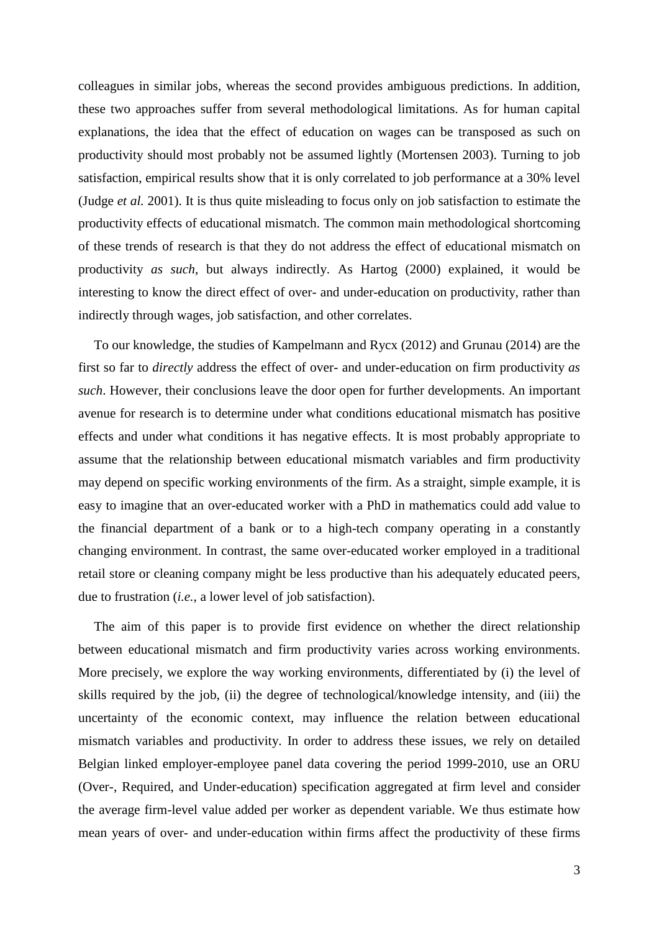colleagues in similar jobs, whereas the second provides ambiguous predictions. In addition, these two approaches suffer from several methodological limitations. As for human capital explanations, the idea that the effect of education on wages can be transposed as such on productivity should most probably not be assumed lightly (Mortensen 2003). Turning to job satisfaction, empirical results show that it is only correlated to job performance at a 30% level (Judge *et al.* 2001). It is thus quite misleading to focus only on job satisfaction to estimate the productivity effects of educational mismatch. The common main methodological shortcoming of these trends of research is that they do not address the effect of educational mismatch on productivity *as such*, but always indirectly. As Hartog (2000) explained, it would be interesting to know the direct effect of over- and under-education on productivity, rather than indirectly through wages, job satisfaction, and other correlates.

To our knowledge, the studies of Kampelmann and Rycx (2012) and Grunau (2014) are the first so far to *directly* address the effect of over- and under-education on firm productivity *as such*. However, their conclusions leave the door open for further developments. An important avenue for research is to determine under what conditions educational mismatch has positive effects and under what conditions it has negative effects. It is most probably appropriate to assume that the relationship between educational mismatch variables and firm productivity may depend on specific working environments of the firm. As a straight, simple example, it is easy to imagine that an over-educated worker with a PhD in mathematics could add value to the financial department of a bank or to a high-tech company operating in a constantly changing environment. In contrast, the same over-educated worker employed in a traditional retail store or cleaning company might be less productive than his adequately educated peers, due to frustration (*i.e.*, a lower level of job satisfaction).

The aim of this paper is to provide first evidence on whether the direct relationship between educational mismatch and firm productivity varies across working environments. More precisely, we explore the way working environments, differentiated by (i) the level of skills required by the job, (ii) the degree of technological/knowledge intensity, and (iii) the uncertainty of the economic context, may influence the relation between educational mismatch variables and productivity. In order to address these issues, we rely on detailed Belgian linked employer-employee panel data covering the period 1999-2010, use an ORU (Over-, Required, and Under-education) specification aggregated at firm level and consider the average firm-level value added per worker as dependent variable. We thus estimate how mean years of over- and under-education within firms affect the productivity of these firms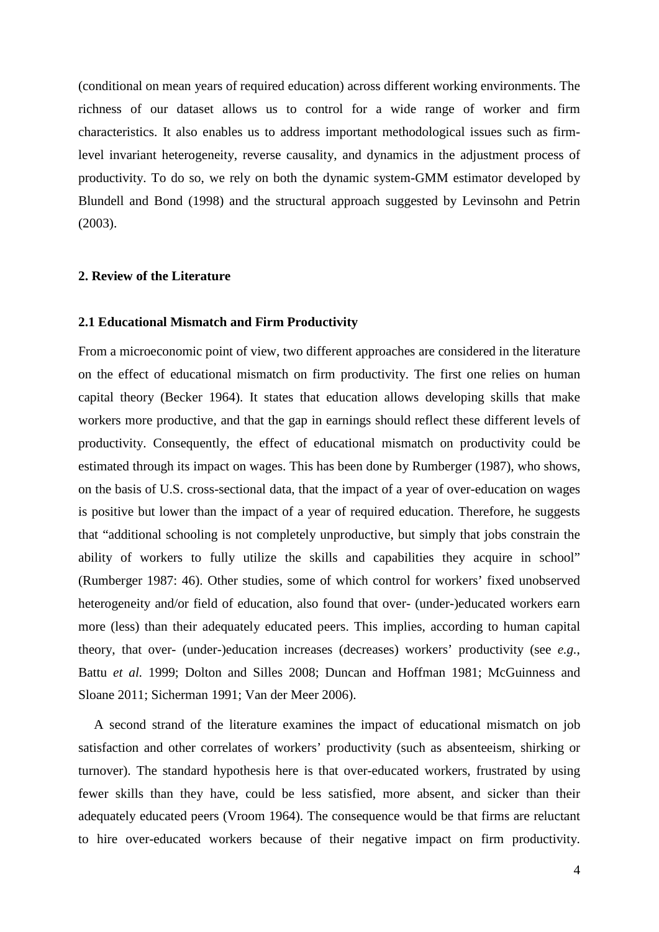(conditional on mean years of required education) across different working environments. The richness of our dataset allows us to control for a wide range of worker and firm characteristics. It also enables us to address important methodological issues such as firmlevel invariant heterogeneity, reverse causality, and dynamics in the adjustment process of productivity. To do so, we rely on both the dynamic system-GMM estimator developed by Blundell and Bond (1998) and the structural approach suggested by Levinsohn and Petrin (2003).

#### **2. Review of the Literature**

#### **2.1 Educational Mismatch and Firm Productivity**

From a microeconomic point of view, two different approaches are considered in the literature on the effect of educational mismatch on firm productivity. The first one relies on human capital theory (Becker 1964). It states that education allows developing skills that make workers more productive, and that the gap in earnings should reflect these different levels of productivity. Consequently, the effect of educational mismatch on productivity could be estimated through its impact on wages. This has been done by Rumberger (1987), who shows, on the basis of U.S. cross-sectional data, that the impact of a year of over-education on wages is positive but lower than the impact of a year of required education. Therefore, he suggests that "additional schooling is not completely unproductive, but simply that jobs constrain the ability of workers to fully utilize the skills and capabilities they acquire in school" (Rumberger 1987: 46). Other studies, some of which control for workers' fixed unobserved heterogeneity and/or field of education, also found that over- (under-)educated workers earn more (less) than their adequately educated peers. This implies, according to human capital theory, that over- (under-)education increases (decreases) workers' productivity (see *e.g.*, Battu *et al.* 1999; Dolton and Silles 2008; Duncan and Hoffman 1981; McGuinness and Sloane 2011; Sicherman 1991; Van der Meer 2006).

A second strand of the literature examines the impact of educational mismatch on job satisfaction and other correlates of workers' productivity (such as absenteeism, shirking or turnover). The standard hypothesis here is that over-educated workers, frustrated by using fewer skills than they have, could be less satisfied, more absent, and sicker than their adequately educated peers (Vroom 1964). The consequence would be that firms are reluctant to hire over-educated workers because of their negative impact on firm productivity.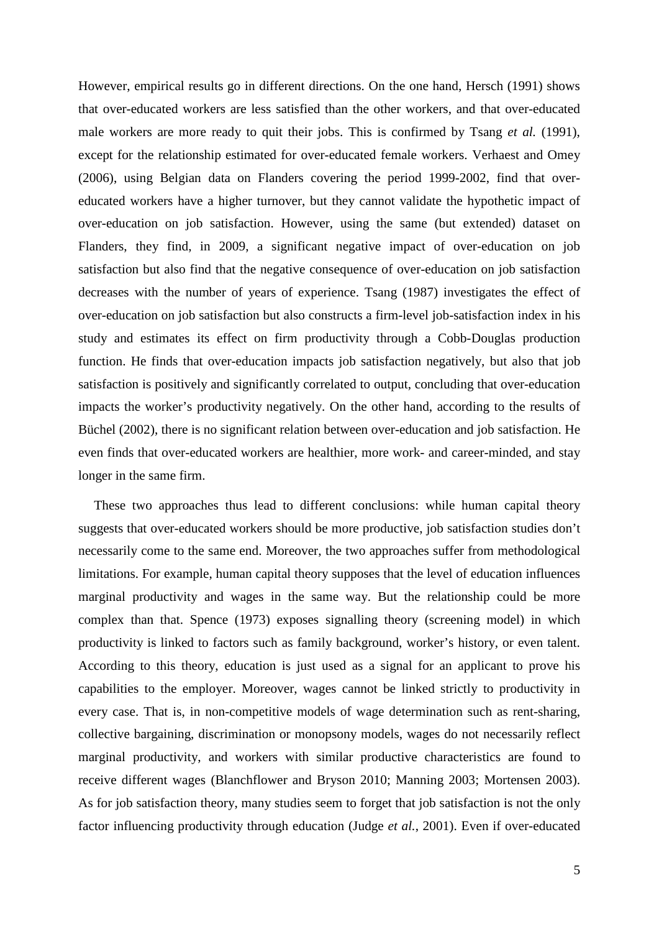However, empirical results go in different directions. On the one hand, Hersch (1991) shows that over-educated workers are less satisfied than the other workers, and that over-educated male workers are more ready to quit their jobs. This is confirmed by Tsang *et al.* (1991), except for the relationship estimated for over-educated female workers. Verhaest and Omey (2006), using Belgian data on Flanders covering the period 1999-2002, find that overeducated workers have a higher turnover, but they cannot validate the hypothetic impact of over-education on job satisfaction. However, using the same (but extended) dataset on Flanders, they find, in 2009, a significant negative impact of over-education on job satisfaction but also find that the negative consequence of over-education on job satisfaction decreases with the number of years of experience. Tsang (1987) investigates the effect of over-education on job satisfaction but also constructs a firm-level job-satisfaction index in his study and estimates its effect on firm productivity through a Cobb-Douglas production function. He finds that over-education impacts job satisfaction negatively, but also that job satisfaction is positively and significantly correlated to output, concluding that over-education impacts the worker's productivity negatively. On the other hand, according to the results of Büchel (2002), there is no significant relation between over-education and job satisfaction. He even finds that over-educated workers are healthier, more work- and career-minded, and stay longer in the same firm.

These two approaches thus lead to different conclusions: while human capital theory suggests that over-educated workers should be more productive, job satisfaction studies don't necessarily come to the same end. Moreover, the two approaches suffer from methodological limitations. For example, human capital theory supposes that the level of education influences marginal productivity and wages in the same way. But the relationship could be more complex than that. Spence (1973) exposes signalling theory (screening model) in which productivity is linked to factors such as family background, worker's history, or even talent. According to this theory, education is just used as a signal for an applicant to prove his capabilities to the employer. Moreover, wages cannot be linked strictly to productivity in every case. That is, in non-competitive models of wage determination such as rent-sharing, collective bargaining, discrimination or monopsony models, wages do not necessarily reflect marginal productivity, and workers with similar productive characteristics are found to receive different wages (Blanchflower and Bryson 2010; Manning 2003; Mortensen 2003). As for job satisfaction theory, many studies seem to forget that job satisfaction is not the only factor influencing productivity through education (Judge *et al.*, 2001). Even if over-educated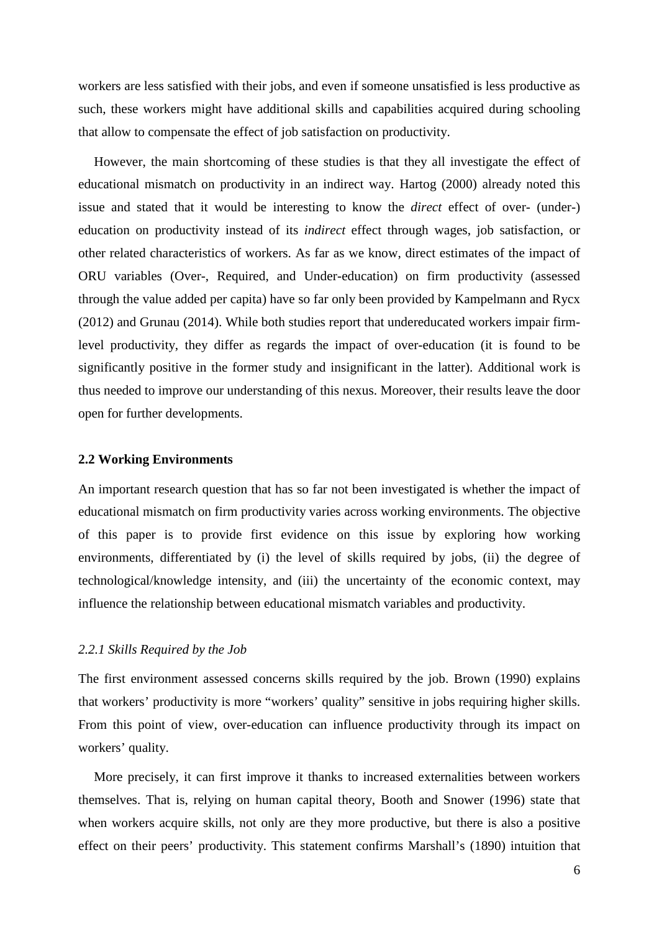workers are less satisfied with their jobs, and even if someone unsatisfied is less productive as such, these workers might have additional skills and capabilities acquired during schooling that allow to compensate the effect of job satisfaction on productivity.

However, the main shortcoming of these studies is that they all investigate the effect of educational mismatch on productivity in an indirect way. Hartog (2000) already noted this issue and stated that it would be interesting to know the *direct* effect of over- (under-) education on productivity instead of its *indirect* effect through wages, job satisfaction, or other related characteristics of workers. As far as we know, direct estimates of the impact of ORU variables (Over-, Required, and Under-education) on firm productivity (assessed through the value added per capita) have so far only been provided by Kampelmann and Rycx (2012) and Grunau (2014). While both studies report that undereducated workers impair firmlevel productivity, they differ as regards the impact of over-education (it is found to be significantly positive in the former study and insignificant in the latter). Additional work is thus needed to improve our understanding of this nexus. Moreover, their results leave the door open for further developments.

#### **2.2 Working Environments**

An important research question that has so far not been investigated is whether the impact of educational mismatch on firm productivity varies across working environments. The objective of this paper is to provide first evidence on this issue by exploring how working environments, differentiated by (i) the level of skills required by jobs, (ii) the degree of technological/knowledge intensity, and (iii) the uncertainty of the economic context, may influence the relationship between educational mismatch variables and productivity.

#### *2.2.1 Skills Required by the Job*

The first environment assessed concerns skills required by the job. Brown (1990) explains that workers' productivity is more "workers' quality" sensitive in jobs requiring higher skills. From this point of view, over-education can influence productivity through its impact on workers' quality.

More precisely, it can first improve it thanks to increased externalities between workers themselves. That is, relying on human capital theory, Booth and Snower (1996) state that when workers acquire skills, not only are they more productive, but there is also a positive effect on their peers' productivity. This statement confirms Marshall's (1890) intuition that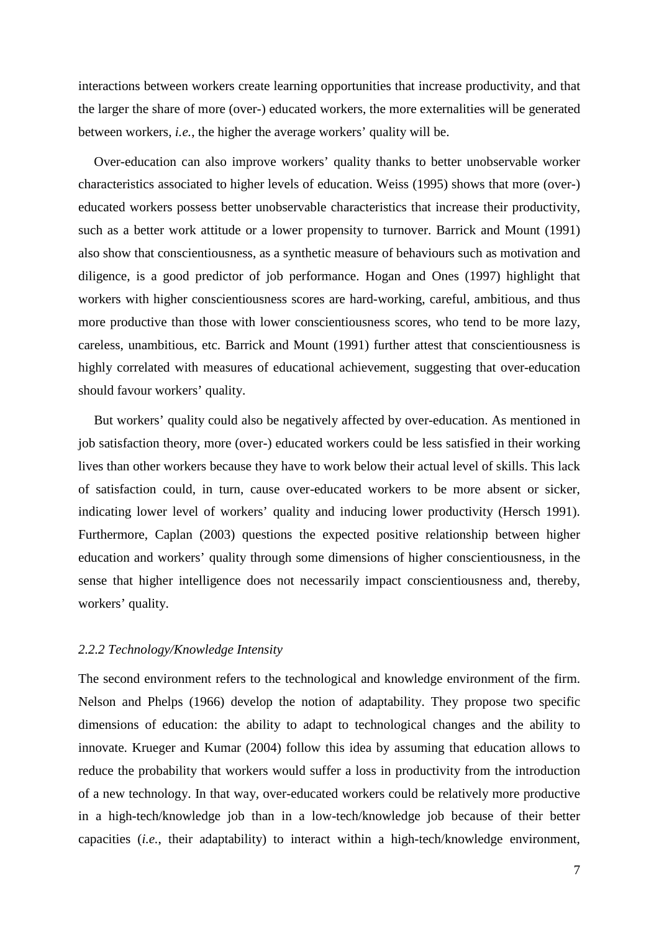interactions between workers create learning opportunities that increase productivity, and that the larger the share of more (over-) educated workers, the more externalities will be generated between workers, *i.e.*, the higher the average workers' quality will be.

Over-education can also improve workers' quality thanks to better unobservable worker characteristics associated to higher levels of education. Weiss (1995) shows that more (over-) educated workers possess better unobservable characteristics that increase their productivity, such as a better work attitude or a lower propensity to turnover. Barrick and Mount (1991) also show that conscientiousness, as a synthetic measure of behaviours such as motivation and diligence, is a good predictor of job performance. Hogan and Ones (1997) highlight that workers with higher conscientiousness scores are hard-working, careful, ambitious, and thus more productive than those with lower conscientiousness scores, who tend to be more lazy, careless, unambitious, etc. Barrick and Mount (1991) further attest that conscientiousness is highly correlated with measures of educational achievement, suggesting that over-education should favour workers' quality.

But workers' quality could also be negatively affected by over-education. As mentioned in job satisfaction theory, more (over-) educated workers could be less satisfied in their working lives than other workers because they have to work below their actual level of skills. This lack of satisfaction could, in turn, cause over-educated workers to be more absent or sicker, indicating lower level of workers' quality and inducing lower productivity (Hersch 1991). Furthermore, Caplan (2003) questions the expected positive relationship between higher education and workers' quality through some dimensions of higher conscientiousness, in the sense that higher intelligence does not necessarily impact conscientiousness and, thereby, workers' quality.

#### *2.2.2 Technology/Knowledge Intensity*

The second environment refers to the technological and knowledge environment of the firm. Nelson and Phelps (1966) develop the notion of adaptability. They propose two specific dimensions of education: the ability to adapt to technological changes and the ability to innovate. Krueger and Kumar (2004) follow this idea by assuming that education allows to reduce the probability that workers would suffer a loss in productivity from the introduction of a new technology. In that way, over-educated workers could be relatively more productive in a high-tech/knowledge job than in a low-tech/knowledge job because of their better capacities (*i.e.*, their adaptability) to interact within a high-tech/knowledge environment,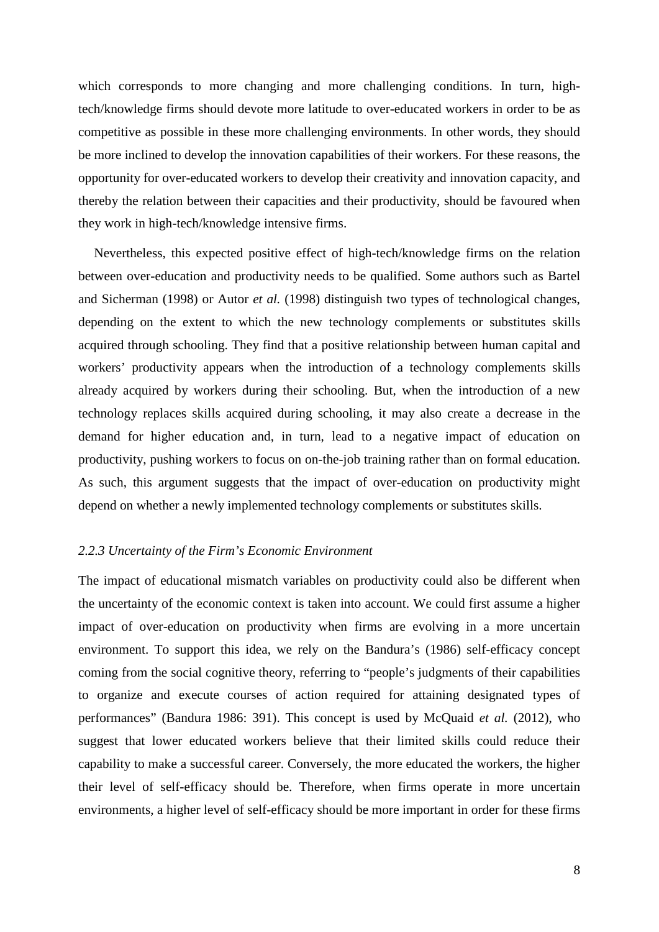which corresponds to more changing and more challenging conditions. In turn, hightech/knowledge firms should devote more latitude to over-educated workers in order to be as competitive as possible in these more challenging environments. In other words, they should be more inclined to develop the innovation capabilities of their workers. For these reasons, the opportunity for over-educated workers to develop their creativity and innovation capacity, and thereby the relation between their capacities and their productivity, should be favoured when they work in high-tech/knowledge intensive firms.

Nevertheless, this expected positive effect of high-tech/knowledge firms on the relation between over-education and productivity needs to be qualified. Some authors such as Bartel and Sicherman (1998) or Autor *et al.* (1998) distinguish two types of technological changes, depending on the extent to which the new technology complements or substitutes skills acquired through schooling. They find that a positive relationship between human capital and workers' productivity appears when the introduction of a technology complements skills already acquired by workers during their schooling. But, when the introduction of a new technology replaces skills acquired during schooling, it may also create a decrease in the demand for higher education and, in turn, lead to a negative impact of education on productivity, pushing workers to focus on on-the-job training rather than on formal education. As such, this argument suggests that the impact of over-education on productivity might depend on whether a newly implemented technology complements or substitutes skills.

#### *2.2.3 Uncertainty of the Firm's Economic Environment*

The impact of educational mismatch variables on productivity could also be different when the uncertainty of the economic context is taken into account. We could first assume a higher impact of over-education on productivity when firms are evolving in a more uncertain environment. To support this idea, we rely on the Bandura's (1986) self-efficacy concept coming from the social cognitive theory, referring to "people's judgments of their capabilities to organize and execute courses of action required for attaining designated types of performances" (Bandura 1986: 391). This concept is used by McQuaid *et al.* (2012), who suggest that lower educated workers believe that their limited skills could reduce their capability to make a successful career. Conversely, the more educated the workers, the higher their level of self-efficacy should be. Therefore, when firms operate in more uncertain environments, a higher level of self-efficacy should be more important in order for these firms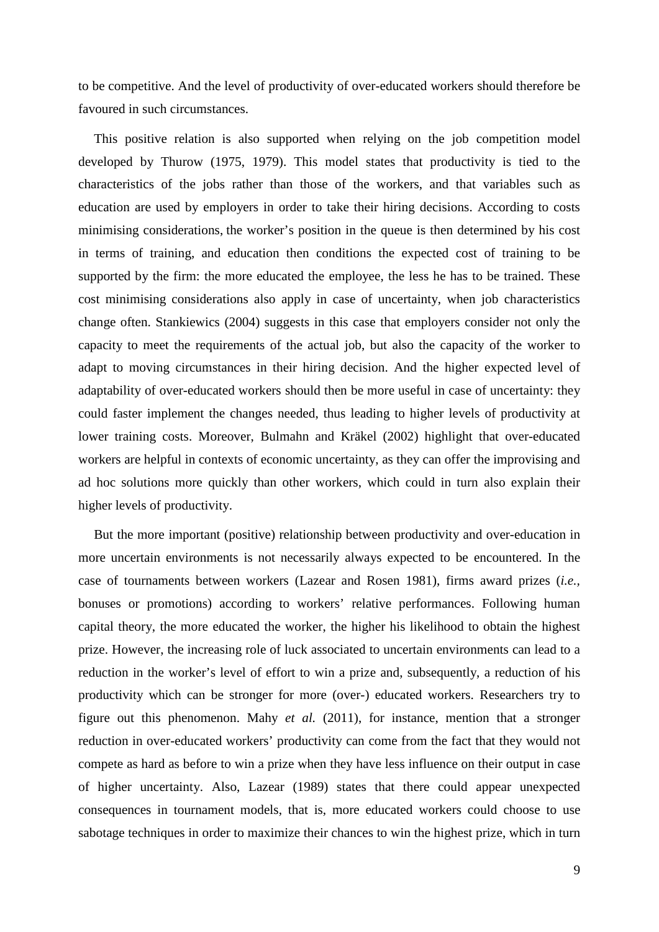to be competitive. And the level of productivity of over-educated workers should therefore be favoured in such circumstances.

This positive relation is also supported when relying on the job competition model developed by Thurow (1975, 1979). This model states that productivity is tied to the characteristics of the jobs rather than those of the workers, and that variables such as education are used by employers in order to take their hiring decisions. According to costs minimising considerations, the worker's position in the queue is then determined by his cost in terms of training, and education then conditions the expected cost of training to be supported by the firm: the more educated the employee, the less he has to be trained. These cost minimising considerations also apply in case of uncertainty, when job characteristics change often. Stankiewics (2004) suggests in this case that employers consider not only the capacity to meet the requirements of the actual job, but also the capacity of the worker to adapt to moving circumstances in their hiring decision. And the higher expected level of adaptability of over-educated workers should then be more useful in case of uncertainty: they could faster implement the changes needed, thus leading to higher levels of productivity at lower training costs. Moreover, Bulmahn and Kräkel (2002) highlight that over-educated workers are helpful in contexts of economic uncertainty, as they can offer the improvising and ad hoc solutions more quickly than other workers, which could in turn also explain their higher levels of productivity.

But the more important (positive) relationship between productivity and over-education in more uncertain environments is not necessarily always expected to be encountered. In the case of tournaments between workers (Lazear and Rosen 1981), firms award prizes (*i.e.,* bonuses or promotions) according to workers' relative performances. Following human capital theory, the more educated the worker, the higher his likelihood to obtain the highest prize. However, the increasing role of luck associated to uncertain environments can lead to a reduction in the worker's level of effort to win a prize and, subsequently, a reduction of his productivity which can be stronger for more (over-) educated workers. Researchers try to figure out this phenomenon. Mahy *et al.* (2011), for instance, mention that a stronger reduction in over-educated workers' productivity can come from the fact that they would not compete as hard as before to win a prize when they have less influence on their output in case of higher uncertainty. Also, Lazear (1989) states that there could appear unexpected consequences in tournament models, that is, more educated workers could choose to use sabotage techniques in order to maximize their chances to win the highest prize, which in turn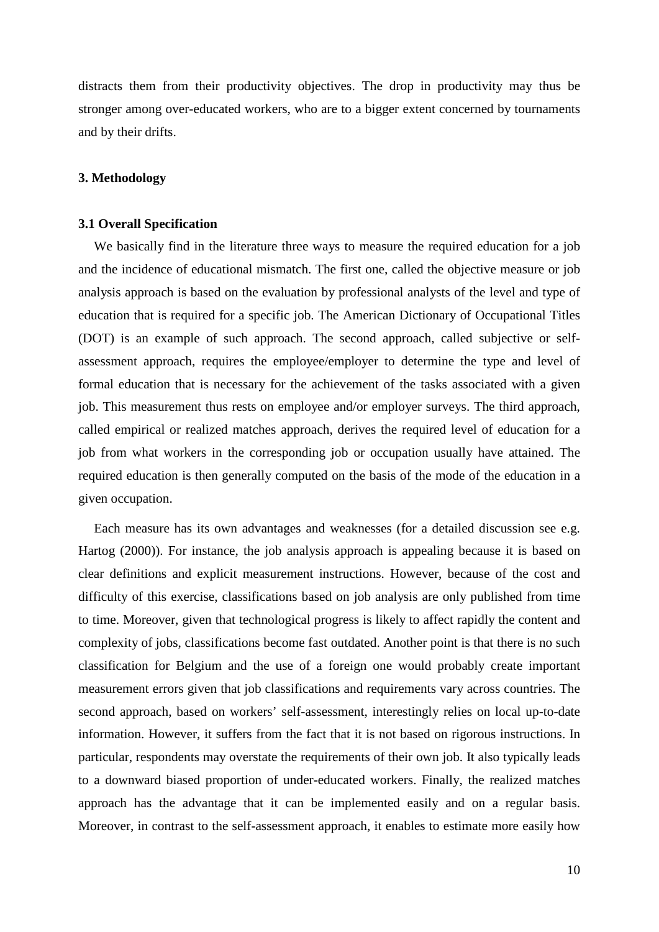distracts them from their productivity objectives. The drop in productivity may thus be stronger among over-educated workers, who are to a bigger extent concerned by tournaments and by their drifts.

#### **3. Methodology**

#### **3.1 Overall Specification**

We basically find in the literature three ways to measure the required education for a job and the incidence of educational mismatch. The first one, called the objective measure or job analysis approach is based on the evaluation by professional analysts of the level and type of education that is required for a specific job. The American Dictionary of Occupational Titles (DOT) is an example of such approach. The second approach, called subjective or selfassessment approach, requires the employee/employer to determine the type and level of formal education that is necessary for the achievement of the tasks associated with a given job. This measurement thus rests on employee and/or employer surveys. The third approach, called empirical or realized matches approach, derives the required level of education for a job from what workers in the corresponding job or occupation usually have attained. The required education is then generally computed on the basis of the mode of the education in a given occupation.

Each measure has its own advantages and weaknesses (for a detailed discussion see e.g. Hartog (2000)). For instance, the job analysis approach is appealing because it is based on clear definitions and explicit measurement instructions. However, because of the cost and difficulty of this exercise, classifications based on job analysis are only published from time to time. Moreover, given that technological progress is likely to affect rapidly the content and complexity of jobs, classifications become fast outdated. Another point is that there is no such classification for Belgium and the use of a foreign one would probably create important measurement errors given that job classifications and requirements vary across countries. The second approach, based on workers' self-assessment, interestingly relies on local up-to-date information. However, it suffers from the fact that it is not based on rigorous instructions. In particular, respondents may overstate the requirements of their own job. It also typically leads to a downward biased proportion of under-educated workers. Finally, the realized matches approach has the advantage that it can be implemented easily and on a regular basis. Moreover, in contrast to the self-assessment approach, it enables to estimate more easily how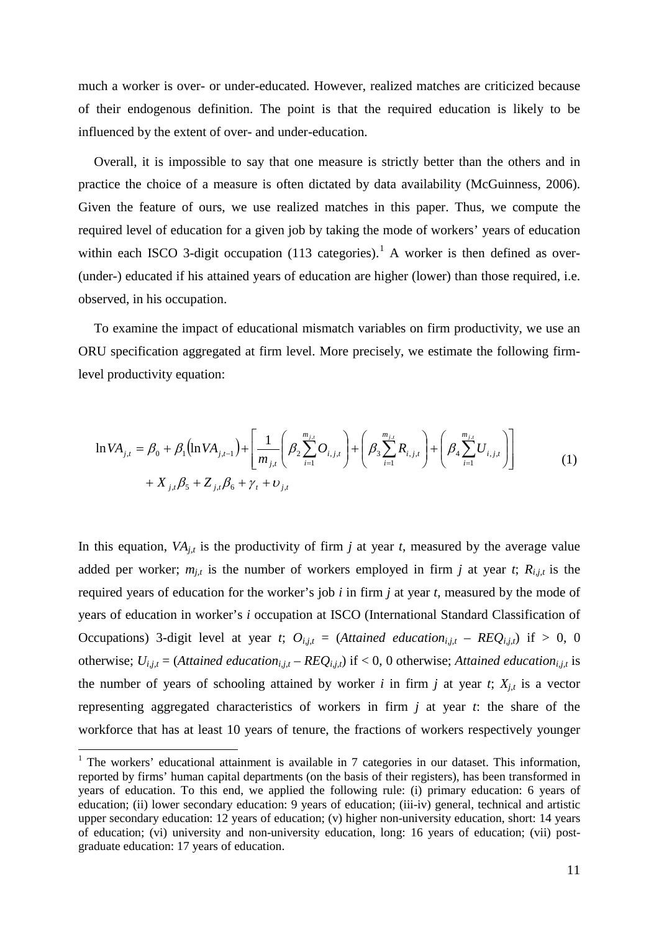much a worker is over- or under-educated. However, realized matches are criticized because of their endogenous definition. The point is that the required education is likely to be influenced by the extent of over- and under-education.

Overall, it is impossible to say that one measure is strictly better than the others and in practice the choice of a measure is often dictated by data availability (McGuinness, 2006). Given the feature of ours, we use realized matches in this paper. Thus, we compute the required level of education for a given job by taking the mode of workers' years of education within each ISCO 3-digit occupation  $(113 \text{ categories})$ .<sup>1</sup> A worker is then defined as over-(under-) educated if his attained years of education are higher (lower) than those required, i.e. observed, in his occupation.

To examine the impact of educational mismatch variables on firm productivity, we use an ORU specification aggregated at firm level. More precisely, we estimate the following firmlevel productivity equation:

$$
\ln VA_{j,t} = \beta_0 + \beta_1 \Big( \ln VA_{j,t-1} \Big) + \left[ \frac{1}{m_{j,t}} \Big( \beta_2 \sum_{i=1}^{m_{j,t}} O_{i,j,t} \Big) + \Big( \beta_3 \sum_{i=1}^{m_{j,t}} R_{i,j,t} \Big) + \Big( \beta_4 \sum_{i=1}^{m_{j,t}} U_{i,j,t} \Big) \right]
$$
  
+  $X_{j,t} \beta_5 + Z_{j,t} \beta_6 + \gamma_t + \upsilon_{j,t}$  (1)

In this equation,  $VA_{j,t}$  is the productivity of firm *j* at year *t*, measured by the average value added per worker;  $m_{j,t}$  is the number of workers employed in firm *j* at year *t*;  $R_{i,j,t}$  is the required years of education for the worker's job *i* in firm *j* at year *t*, measured by the mode of years of education in worker's *i* occupation at ISCO (International Standard Classification of Occupations) 3-digit level at year *t*;  $O_{i,j,t} = (Attained education_{i,j,t} - REQ_{i,j,t})$  if  $> 0$ , 0 otherwise;  $U_{i,j,t} = (Attained\ education_{i,j,t} - REQ_{i,j,t})$  if  $< 0$ , 0 otherwise; *Attained education*<sub>i,j,t</sub> is the number of years of schooling attained by worker *i* in firm *j* at year *t*;  $X_{i,t}$  is a vector representing aggregated characteristics of workers in firm *j* at year *t*: the share of the workforce that has at least 10 years of tenure, the fractions of workers respectively younger

 $\overline{a}$ 

<span id="page-12-0"></span> $1$  The workers' educational attainment is available in 7 categories in our dataset. This information, reported by firms' human capital departments (on the basis of their registers), has been transformed in years of education. To this end, we applied the following rule: (i) primary education: 6 years of education; (ii) lower secondary education: 9 years of education; (iii-iv) general, technical and artistic upper secondary education: 12 years of education; (v) higher non-university education, short: 14 years of education; (vi) university and non-university education, long: 16 years of education; (vii) postgraduate education: 17 years of education.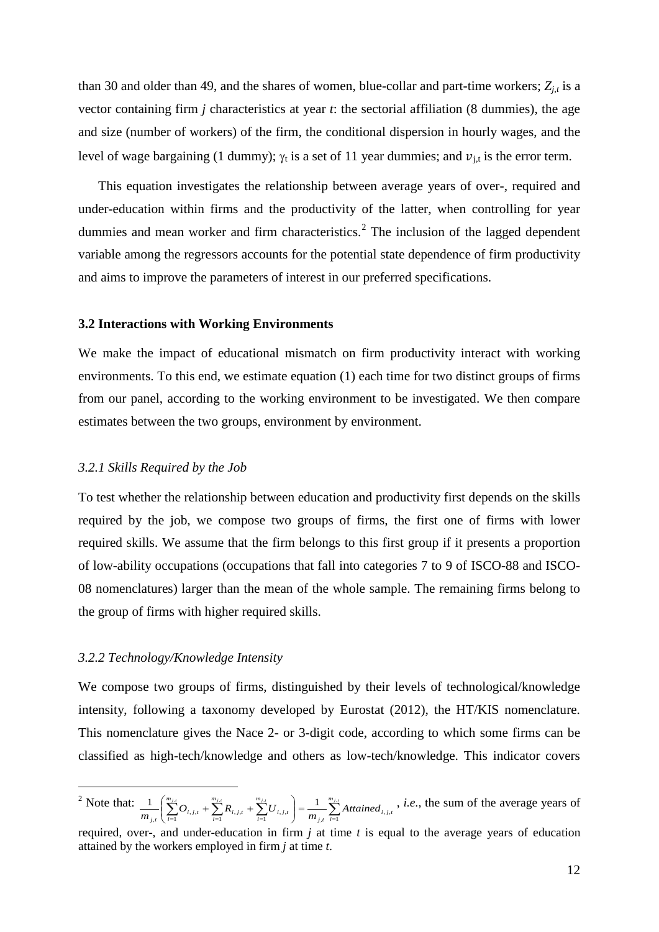than 30 and older than 49, and the shares of women, blue-collar and part-time workers;  $Z_{i,t}$  is a vector containing firm *j* characteristics at year *t*: the sectorial affiliation (8 dummies), the age and size (number of workers) of the firm, the conditional dispersion in hourly wages, and the level of wage bargaining (1 dummy);  $\gamma_t$  is a set of 11 year dummies; and  $v_{j,t}$  is the error term.

This equation investigates the relationship between average years of over-, required and under-education within firms and the productivity of the latter, when controlling for year dummies and mean worker and firm characteristics.<sup>[2](#page-12-0)</sup> The inclusion of the lagged dependent variable among the regressors accounts for the potential state dependence of firm productivity and aims to improve the parameters of interest in our preferred specifications.

#### **3.2 Interactions with Working Environments**

We make the impact of educational mismatch on firm productivity interact with working environments. To this end, we estimate equation (1) each time for two distinct groups of firms from our panel, according to the working environment to be investigated. We then compare estimates between the two groups, environment by environment.

#### *3.2.1 Skills Required by the Job*

To test whether the relationship between education and productivity first depends on the skills required by the job, we compose two groups of firms, the first one of firms with lower required skills. We assume that the firm belongs to this first group if it presents a proportion of low-ability occupations (occupations that fall into categories 7 to 9 of ISCO-88 and ISCO-08 nomenclatures) larger than the mean of the whole sample. The remaining firms belong to the group of firms with higher required skills.

#### *3.2.2 Technology/Knowledge Intensity*

 $\overline{a}$ 

We compose two groups of firms, distinguished by their levels of technological/knowledge intensity, following a taxonomy developed by Eurostat (2012), the HT/KIS nomenclature. This nomenclature gives the Nace 2- or 3-digit code, according to which some firms can be classified as high-tech/knowledge and others as low-tech/knowledge. This indicator covers

<sup>&</sup>lt;sup>2</sup> Note that:  $\frac{1}{m_{i,t}} \left( \sum_{i=1}^{m_{j,t}} O_{i,j,t} + \sum_{i=1}^{m_{j,t}} R_{i,j,t} + \sum_{i=1}^{m_{j,t}} U_{i,j,t} \right) = \frac{1}{m_{i,t}} \sum_{i=1}^{m_{j,t}}$ J 丫  $\overline{\phantom{a}}$  $\backslash$  $\left( \sum_{i=1}^{m_{j,i}} O_{i,i,t} + \sum_{i=1}^{m_{j,i}} R_{i,i,t} + \sum_{i=1}^{m_{j,i}} U_{i,i,t} \right) = \frac{1}{\sqrt{2}} \sum_{i=1}^{m_{j,i}}$  $\sum_{j,t}$   $\sum_{i=1}^{n}$  *Attuned*  $i, j, t$ *m*  $\sum_{i=1}^{U}$  *i*, *j*,*t m*  $\sum_{i=1}^{\infty} \mathbf{R}_{i,j,t}$ *m*  $\frac{1}{m_{j,t}} \left( \sum_{i=1}^{m_{j,t}} O_{i,j,t} + \sum_{i=1}^{m_{j,t}} R_{i,j,t} + \sum_{i=1}^{m_{j,t}} U_{i,j,t} \right) = \frac{1}{m_{j,t}} \sum_{i=1}^{m_{j,t}} \text{Attained}$  $\sum_{i=1}^n \left( \sum_{i=1}^{\infty} O_{i,j,t} + \sum_{i=1}^{\infty} \mathbf{R}_{i,j,t} + \sum_{i=1}^{\infty} O_{i,j,t} \right) = \frac{1}{m_{j,t}} \sum_{i=1}^{\infty}$ Anamea<sub>i,j,</sub>  $\frac{1}{1 - \sum_{i=1}^{m_{j,i}} \sum_{i=1}^{m_{j,i}} R_i}$   $\frac{1}{N} \sum_{i=1}^{m_{j,i}} \sum_{i=1}^{m_{j,i}} \sum_{i=1}^{m_{j,i}} \sum_{i=1}^{m_{j,i}} \sum_{i=1}^{m_{j,i}} \sum_{i=1}^{m_{j,i}} \sum_{i=1}^{m_{j,i}} \sum_{i=1}^{m_{j,i}} \sum_{i=1}^{m_{j,i}} \sum_{i=1}^{m_{j,i}} \sum_{i=1}^{m_{j,i}} \sum_{i=1}^{m_{j,i}} \sum_{i=1}^{m_{j,i}} \sum_{i=$ 

<span id="page-13-0"></span>required, over-, and under-education in firm *j* at time *t* is equal to the average years of education attained by the workers employed in firm *j* at time *t*.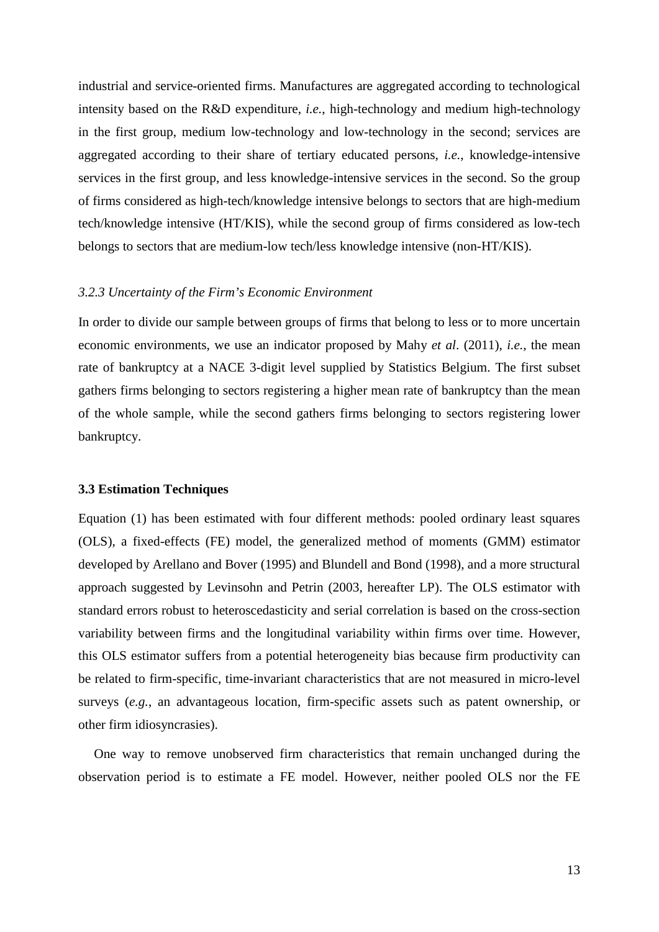industrial and service-oriented firms. Manufactures are aggregated according to technological intensity based on the R&D expenditure, *i.e.*, high-technology and medium high-technology in the first group, medium low-technology and low-technology in the second; services are aggregated according to their share of tertiary educated persons, *i.e.*, knowledge-intensive services in the first group, and less knowledge-intensive services in the second. So the group of firms considered as high-tech/knowledge intensive belongs to sectors that are high-medium tech/knowledge intensive (HT/KIS), while the second group of firms considered as low-tech belongs to sectors that are medium-low tech/less knowledge intensive (non-HT/KIS).

#### *3.2.3 Uncertainty of the Firm's Economic Environment*

In order to divide our sample between groups of firms that belong to less or to more uncertain economic environments, we use an indicator proposed by Mahy *et al*. (2011), *i.e.*, the mean rate of bankruptcy at a NACE 3-digit level supplied by Statistics Belgium. The first subset gathers firms belonging to sectors registering a higher mean rate of bankruptcy than the mean of the whole sample, while the second gathers firms belonging to sectors registering lower bankruptcy.

#### **3.3 Estimation Techniques**

Equation (1) has been estimated with four different methods: pooled ordinary least squares (OLS), a fixed-effects (FE) model, the generalized method of moments (GMM) estimator developed by Arellano and Bover (1995) and Blundell and Bond (1998), and a more structural approach suggested by Levinsohn and Petrin (2003, hereafter LP). The OLS estimator with standard errors robust to heteroscedasticity and serial correlation is based on the cross-section variability between firms and the longitudinal variability within firms over time. However, this OLS estimator suffers from a potential heterogeneity bias because firm productivity can be related to firm-specific, time-invariant characteristics that are not measured in micro-level surveys (*e.g.*, an advantageous location, firm-specific assets such as patent ownership, or other firm idiosyncrasies).

One way to remove unobserved firm characteristics that remain unchanged during the observation period is to estimate a FE model. However, neither pooled OLS nor the FE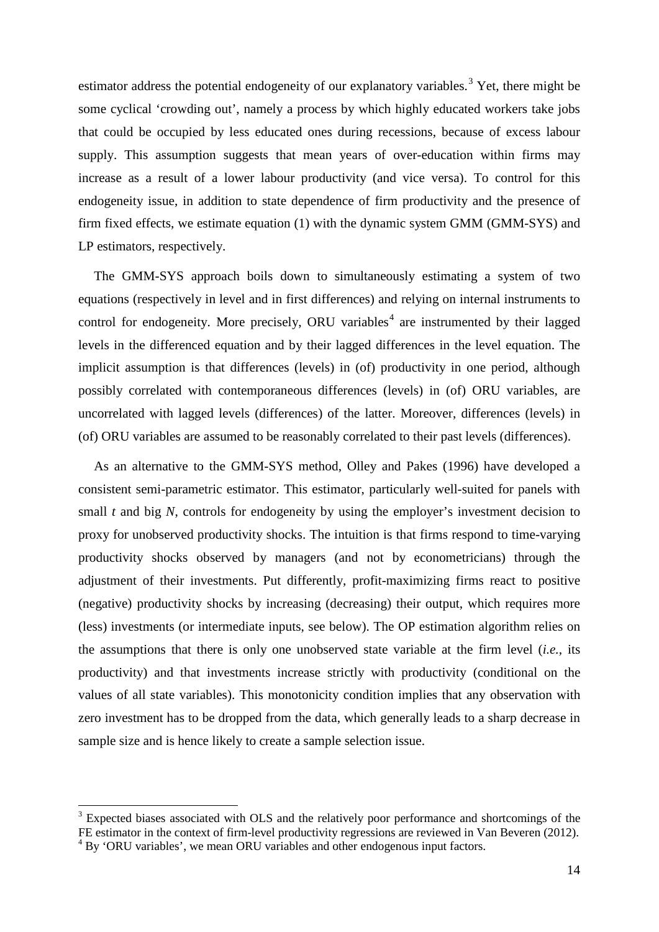estimator address the potential endogeneity of our explanatory variables.<sup>[3](#page-13-0)</sup> Yet, there might be some cyclical 'crowding out', namely a process by which highly educated workers take jobs that could be occupied by less educated ones during recessions, because of excess labour supply. This assumption suggests that mean years of over-education within firms may increase as a result of a lower labour productivity (and vice versa). To control for this endogeneity issue, in addition to state dependence of firm productivity and the presence of firm fixed effects, we estimate equation (1) with the dynamic system GMM (GMM-SYS) and LP estimators, respectively.

The GMM-SYS approach boils down to simultaneously estimating a system of two equations (respectively in level and in first differences) and relying on internal instruments to control for endogeneity. More precisely, ORU variables<sup>[4](#page-15-0)</sup> are instrumented by their lagged levels in the differenced equation and by their lagged differences in the level equation. The implicit assumption is that differences (levels) in (of) productivity in one period, although possibly correlated with contemporaneous differences (levels) in (of) ORU variables, are uncorrelated with lagged levels (differences) of the latter. Moreover, differences (levels) in (of) ORU variables are assumed to be reasonably correlated to their past levels (differences).

<span id="page-15-1"></span>As an alternative to the GMM-SYS method, Olley and Pakes (1996) have developed a consistent semi-parametric estimator. This estimator, particularly well-suited for panels with small *t* and big *N*, controls for endogeneity by using the employer's investment decision to proxy for unobserved productivity shocks. The intuition is that firms respond to time-varying productivity shocks observed by managers (and not by econometricians) through the adjustment of their investments. Put differently, profit-maximizing firms react to positive (negative) productivity shocks by increasing (decreasing) their output, which requires more (less) investments (or intermediate inputs, see below). The OP estimation algorithm relies on the assumptions that there is only one unobserved state variable at the firm level (*i.e.,* its productivity) and that investments increase strictly with productivity (conditional on the values of all state variables). This monotonicity condition implies that any observation with zero investment has to be dropped from the data, which generally leads to a sharp decrease in sample size and is hence likely to create a sample selection issue.

 $\overline{a}$ 

<span id="page-15-0"></span>Expected biases associated with OLS and the relatively poor performance and shortcomings of the FE estimator in the context of firm-level productivity regressions are reviewed in Van Beveren (2012).  $4 By$  'ORU variables', we mean ORU variables and other endogenous input factors.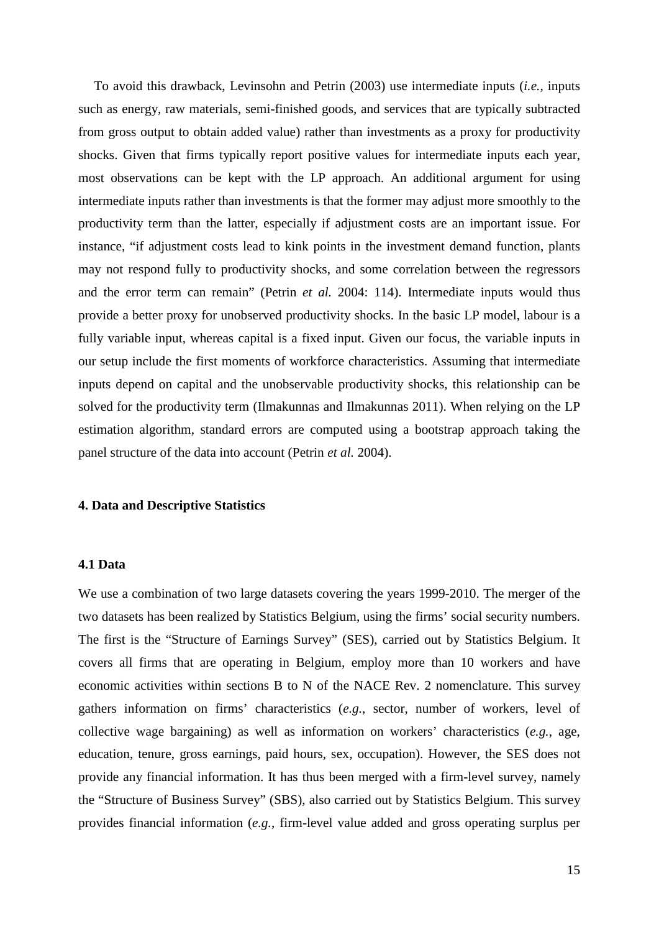To avoid this drawback, Levinsohn and Petrin (2003) use intermediate inputs (*i.e.,* inputs such as energy, raw materials, semi-finished goods, and services that are typically subtracted from gross output to obtain added value) rather than investments as a proxy for productivity shocks. Given that firms typically report positive values for intermediate inputs each year, most observations can be kept with the LP approach. An additional argument for using intermediate inputs rather than investments is that the former may adjust more smoothly to the productivity term than the latter, especially if adjustment costs are an important issue. For instance, "if adjustment costs lead to kink points in the investment demand function, plants may not respond fully to productivity shocks, and some correlation between the regressors and the error term can remain" (Petrin *et al.* 2004: 114). Intermediate inputs would thus provide a better proxy for unobserved productivity shocks. In the basic LP model, labour is a fully variable input, whereas capital is a fixed input. Given our focus, the variable inputs in our setup include the first moments of workforce characteristics. Assuming that intermediate inputs depend on capital and the unobservable productivity shocks, this relationship can be solved for the productivity term (Ilmakunnas and Ilmakunnas 2011). When relying on the LP estimation algorithm, standard errors are computed using a bootstrap approach taking the panel structure of the data into account (Petrin *et al.* 2004).

#### **4. Data and Descriptive Statistics**

#### **4.1 Data**

We use a combination of two large datasets covering the years 1999-2010. The merger of the two datasets has been realized by Statistics Belgium, using the firms' social security numbers. The first is the "Structure of Earnings Survey" (SES), carried out by Statistics Belgium. It covers all firms that are operating in Belgium, employ more than 10 workers and have economic activities within sections B to N of the NACE Rev. 2 nomenclature. This survey gathers information on firms' characteristics (*e.g.*, sector, number of workers, level of collective wage bargaining) as well as information on workers' characteristics (*e.g.*, age, education, tenure, gross earnings, paid hours, sex, occupation). However, the SES does not provide any financial information. It has thus been merged with a firm-level survey, namely the "Structure of Business Survey" (SBS), also carried out by Statistics Belgium. This survey provides financial information (*e.g.*, firm-level value added and gross operating surplus per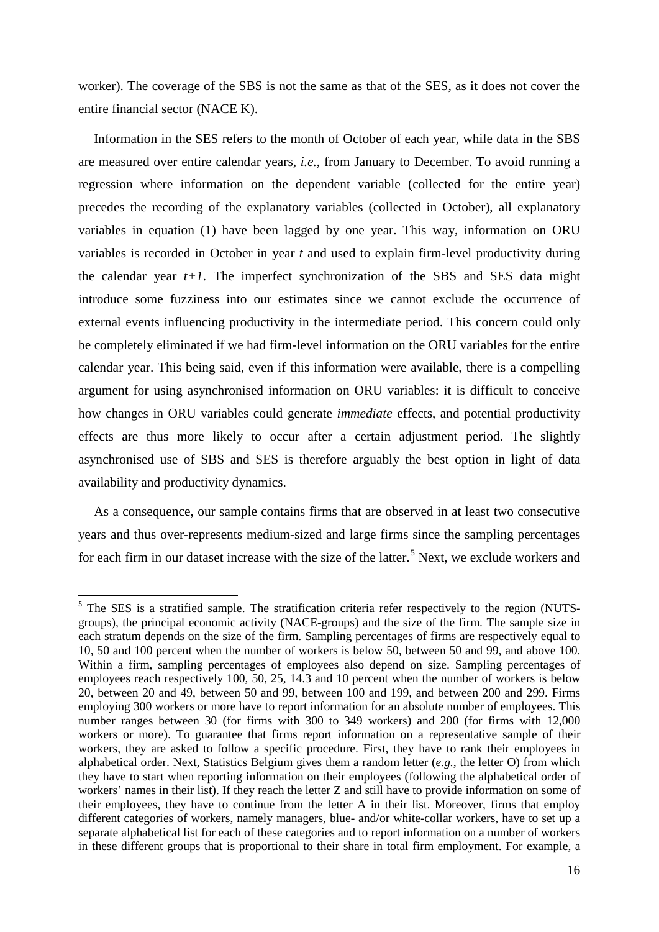worker). The coverage of the SBS is not the same as that of the SES, as it does not cover the entire financial sector (NACE K).

Information in the SES refers to the month of October of each year, while data in the SBS are measured over entire calendar years, *i.e.*, from January to December. To avoid running a regression where information on the dependent variable (collected for the entire year) precedes the recording of the explanatory variables (collected in October), all explanatory variables in equation (1) have been lagged by one year. This way, information on ORU variables is recorded in October in year *t* and used to explain firm-level productivity during the calendar year  $t+1$ . The imperfect synchronization of the SBS and SES data might introduce some fuzziness into our estimates since we cannot exclude the occurrence of external events influencing productivity in the intermediate period. This concern could only be completely eliminated if we had firm-level information on the ORU variables for the entire calendar year. This being said, even if this information were available, there is a compelling argument for using asynchronised information on ORU variables: it is difficult to conceive how changes in ORU variables could generate *immediate* effects, and potential productivity effects are thus more likely to occur after a certain adjustment period. The slightly asynchronised use of SBS and SES is therefore arguably the best option in light of data availability and productivity dynamics.

As a consequence, our sample contains firms that are observed in at least two consecutive years and thus over-represents medium-sized and large firms since the sampling percentages for each firm in our dataset increase with the size of the latter. [5](#page-15-1) Next, we exclude workers and

 $\overline{a}$ 

<span id="page-17-0"></span><sup>&</sup>lt;sup>5</sup> The SES is a stratified sample. The stratification criteria refer respectively to the region (NUTSgroups), the principal economic activity (NACE-groups) and the size of the firm. The sample size in each stratum depends on the size of the firm. Sampling percentages of firms are respectively equal to 10, 50 and 100 percent when the number of workers is below 50, between 50 and 99, and above 100. Within a firm, sampling percentages of employees also depend on size. Sampling percentages of employees reach respectively 100, 50, 25, 14.3 and 10 percent when the number of workers is below 20, between 20 and 49, between 50 and 99, between 100 and 199, and between 200 and 299. Firms employing 300 workers or more have to report information for an absolute number of employees. This number ranges between 30 (for firms with 300 to 349 workers) and 200 (for firms with 12,000 workers or more). To guarantee that firms report information on a representative sample of their workers, they are asked to follow a specific procedure. First, they have to rank their employees in alphabetical order. Next, Statistics Belgium gives them a random letter (*e.g.*, the letter O) from which they have to start when reporting information on their employees (following the alphabetical order of workers' names in their list). If they reach the letter Z and still have to provide information on some of their employees, they have to continue from the letter A in their list. Moreover, firms that employ different categories of workers, namely managers, blue- and/or white-collar workers, have to set up a separate alphabetical list for each of these categories and to report information on a number of workers in these different groups that is proportional to their share in total firm employment. For example, a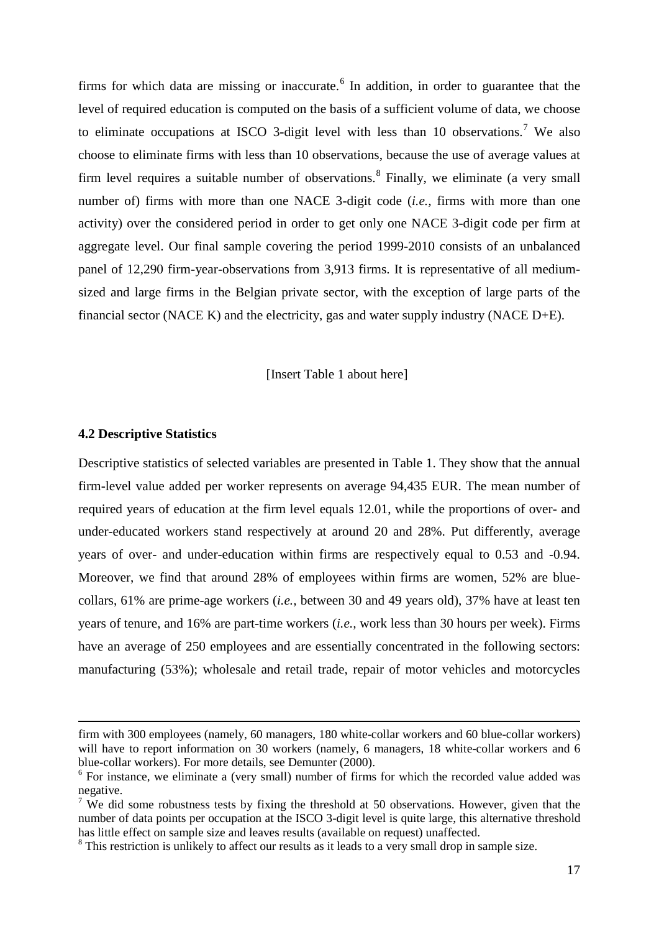firms for which data are missing or inaccurate.<sup>[6](#page-17-0)</sup> In addition, in order to guarantee that the level of required education is computed on the basis of a sufficient volume of data, we choose to eliminate occupations at ISCO 3-digit level with less than 10 observations.<sup>[7](#page-18-0)</sup> We also choose to eliminate firms with less than 10 observations, because the use of average values at firm level requires a suitable number of observations.<sup>[8](#page-18-1)</sup> Finally, we eliminate (a very small number of) firms with more than one NACE 3-digit code (*i.e.,* firms with more than one activity) over the considered period in order to get only one NACE 3-digit code per firm at aggregate level. Our final sample covering the period 1999-2010 consists of an unbalanced panel of 12,290 firm-year-observations from 3,913 firms. It is representative of all mediumsized and large firms in the Belgian private sector, with the exception of large parts of the financial sector (NACE K) and the electricity, gas and water supply industry (NACE D+E).

[Insert Table 1 about here]

#### **4.2 Descriptive Statistics**

 $\overline{a}$ 

Descriptive statistics of selected variables are presented in Table 1. They show that the annual firm-level value added per worker represents on average 94,435 EUR. The mean number of required years of education at the firm level equals 12.01, while the proportions of over- and under-educated workers stand respectively at around 20 and 28%. Put differently, average years of over- and under-education within firms are respectively equal to 0.53 and -0.94. Moreover, we find that around 28% of employees within firms are women, 52% are bluecollars, 61% are prime-age workers (*i.e.,* between 30 and 49 years old), 37% have at least ten years of tenure, and 16% are part-time workers (*i.e.,* work less than 30 hours per week). Firms have an average of 250 employees and are essentially concentrated in the following sectors: manufacturing (53%); wholesale and retail trade, repair of motor vehicles and motorcycles

firm with 300 employees (namely, 60 managers, 180 white-collar workers and 60 blue-collar workers) will have to report information on 30 workers (namely, 6 managers, 18 white-collar workers and 6 blue-collar workers). For more details, see Demunter (2000).

<span id="page-18-2"></span><sup>&</sup>lt;sup>6</sup> For instance, we eliminate a (very small) number of firms for which the recorded value added was negative.

<span id="page-18-0"></span><sup>&</sup>lt;sup>7</sup> We did some robustness tests by fixing the threshold at 50 observations. However, given that the number of data points per occupation at the ISCO 3-digit level is quite large, this alternative threshold has little effect on sample size and leaves results (available on request) unaffected.

<span id="page-18-1"></span><sup>&</sup>lt;sup>8</sup> This restriction is unlikely to affect our results as it leads to a very small drop in sample size.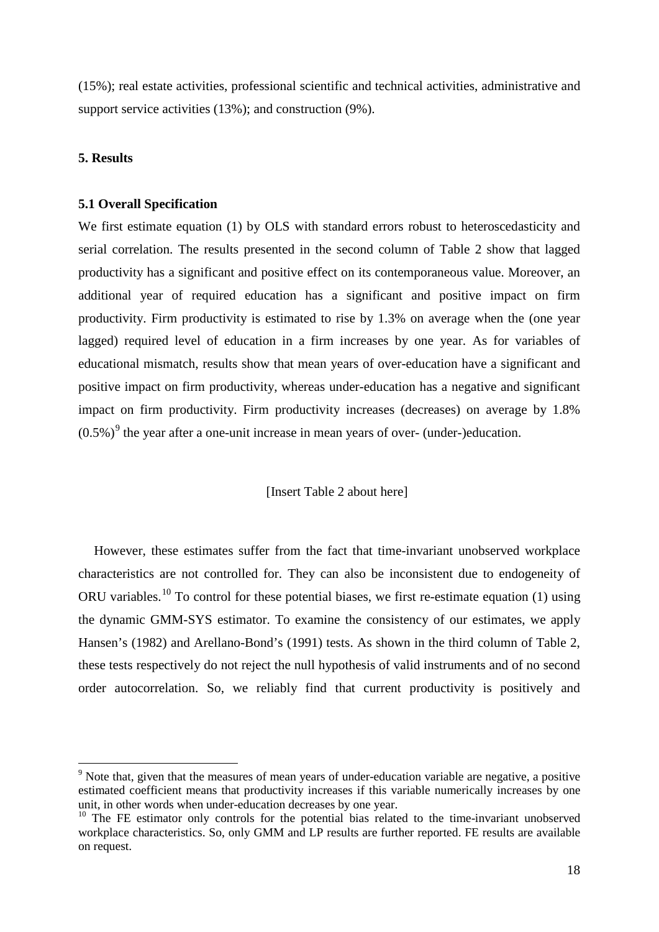(15%); real estate activities, professional scientific and technical activities, administrative and support service activities (13%); and construction (9%).

#### **5. Results**

<span id="page-19-1"></span> $\overline{a}$ 

#### **5.1 Overall Specification**

We first estimate equation (1) by OLS with standard errors robust to heteroscedasticity and serial correlation. The results presented in the second column of Table 2 show that lagged productivity has a significant and positive effect on its contemporaneous value. Moreover, an additional year of required education has a significant and positive impact on firm productivity. Firm productivity is estimated to rise by 1.3% on average when the (one year lagged) required level of education in a firm increases by one year. As for variables of educational mismatch, results show that mean years of over-education have a significant and positive impact on firm productivity, whereas under-education has a negative and significant impact on firm productivity. Firm productivity increases (decreases) on average by 1.8%  $(0.5\%)^9$  $(0.5\%)^9$  the year after a one-unit increase in mean years of over- (under-)education.

#### [Insert Table 2 about here]

However, these estimates suffer from the fact that time-invariant unobserved workplace characteristics are not controlled for. They can also be inconsistent due to endogeneity of ORU variables.<sup>[10](#page-19-0)</sup> To control for these potential biases, we first re-estimate equation (1) using the dynamic GMM-SYS estimator. To examine the consistency of our estimates, we apply Hansen's (1982) and Arellano-Bond's (1991) tests. As shown in the third column of Table 2, these tests respectively do not reject the null hypothesis of valid instruments and of no second order autocorrelation. So, we reliably find that current productivity is positively and

<sup>&</sup>lt;sup>9</sup> Note that, given that the measures of mean years of under-education variable are negative, a positive estimated coefficient means that productivity increases if this variable numerically increases by one unit, in other words when under-education decreases by one year.

<span id="page-19-0"></span> $10$  The FE estimator only controls for the potential bias related to the time-invariant unobserved workplace characteristics. So, only GMM and LP results are further reported. FE results are available on request.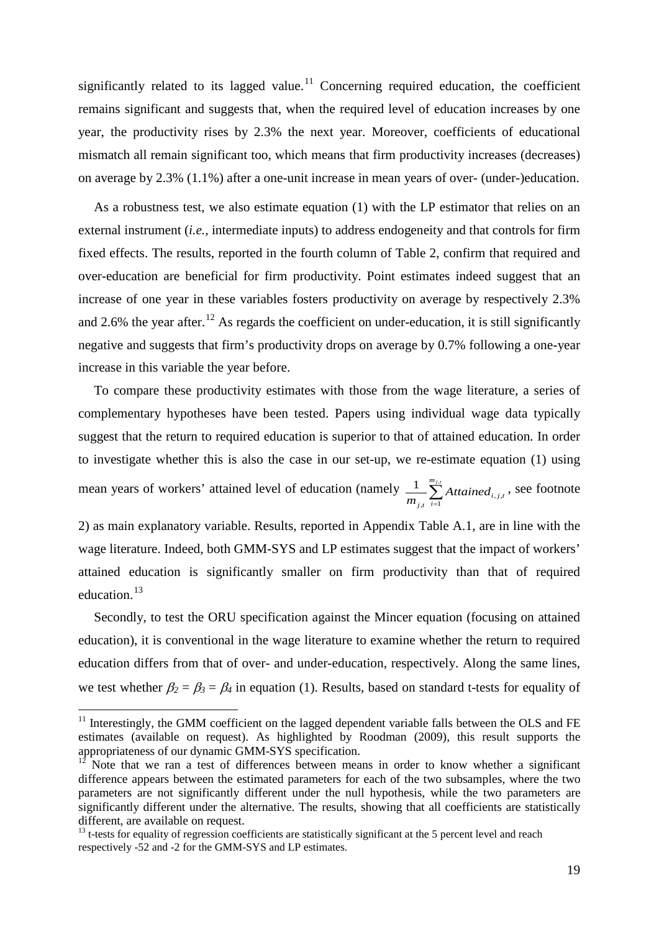significantly related to its lagged value.<sup>[11](#page-19-1)</sup> Concerning required education, the coefficient remains significant and suggests that, when the required level of education increases by one year, the productivity rises by 2.3% the next year. Moreover, coefficients of educational mismatch all remain significant too, which means that firm productivity increases (decreases) on average by 2.3% (1.1%) after a one-unit increase in mean years of over- (under-)education.

As a robustness test, we also estimate equation (1) with the LP estimator that relies on an external instrument (*i.e.,* intermediate inputs) to address endogeneity and that controls for firm fixed effects. The results, reported in the fourth column of Table 2, confirm that required and over-education are beneficial for firm productivity. Point estimates indeed suggest that an increase of one year in these variables fosters productivity on average by respectively 2.3% and 2.6% the year after.<sup>[12](#page-20-0)</sup> As regards the coefficient on under-education, it is still significantly negative and suggests that firm's productivity drops on average by 0.7% following a one-year increase in this variable the year before.

To compare these productivity estimates with those from the wage literature, a series of complementary hypotheses have been tested. Papers using individual wage data typically suggest that the return to required education is superior to that of attained education. In order to investigate whether this is also the case in our set-up, we re-estimate equation (1) using mean years of workers' attained level of education (namely  $\frac{1}{m} \sum_{i=1}^{m} \sum_{i=1}^{m}$  $\sum_{j,t}$   $\sum_{i=1}^{t}$  *Attuned*<sub>*i*</sub>, *j*, *i*  $\frac{1}{m}$ <sub>i.t</sub>  $\sum_{i=1}$  Attained ,  $\sum_{i=1}$ Attainea<sub>i, j,</sub>  $\frac{1}{N} \sum_{i=1}^{m_{j,i}}$  Attained..., see footnote

2) as main explanatory variable. Results, reported in Appendix Table A.1, are in line with the wage literature. Indeed, both GMM-SYS and LP estimates suggest that the impact of workers' attained education is significantly smaller on firm productivity than that of required education.<sup>[13](#page-20-1)</sup>

Secondly, to test the ORU specification against the Mincer equation (focusing on attained education), it is conventional in the wage literature to examine whether the return to required education differs from that of over- and under-education, respectively. Along the same lines, we test whether  $\beta_2 = \beta_3 = \beta_4$  in equation (1). Results, based on standard t-tests for equality of

 $\overline{a}$ 

 $11$  Interestingly, the GMM coefficient on the lagged dependent variable falls between the OLS and FE estimates (available on request). As highlighted by Roodman (2009), this result supports the appropriateness of our dynamic GMM-SYS specification.

<span id="page-20-0"></span>Note that we ran a test of differences between means in order to know whether a significant difference appears between the estimated parameters for each of the two subsamples, where the two parameters are not significantly different under the null hypothesis, while the two parameters are significantly different under the alternative. The results, showing that all coefficients are statistically different, are available on request.<br><sup>13</sup> t-tests for equality of regression coefficients are statistically significant at the 5 percent level and reach

<span id="page-20-1"></span>respectively -52 and -2 for the GMM-SYS and LP estimates.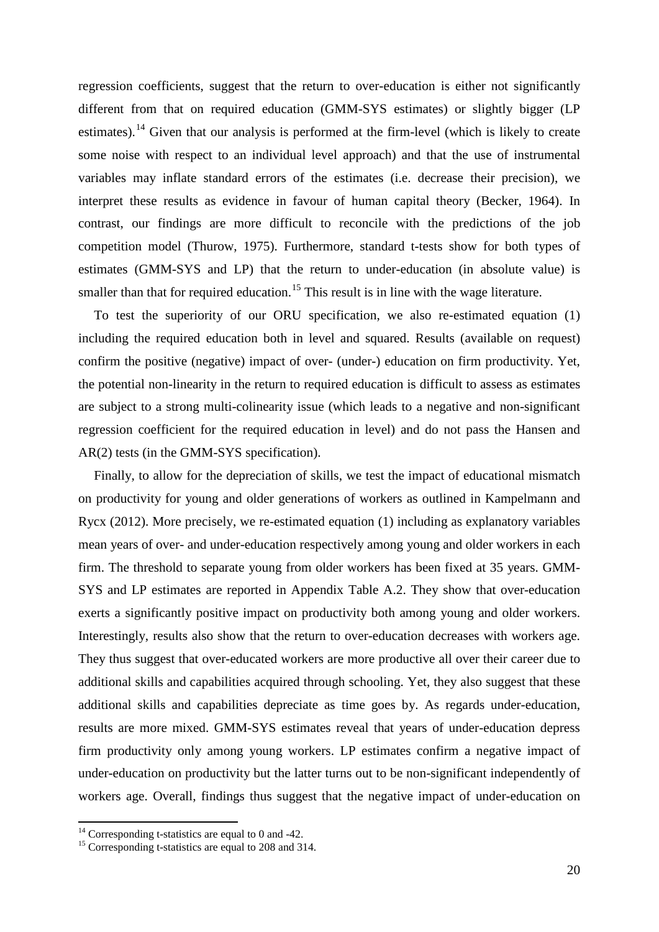regression coefficients, suggest that the return to over-education is either not significantly different from that on required education (GMM-SYS estimates) or slightly bigger (LP estimates).<sup>[14](#page-20-1)</sup> Given that our analysis is performed at the firm-level (which is likely to create some noise with respect to an individual level approach) and that the use of instrumental variables may inflate standard errors of the estimates (i.e. decrease their precision), we interpret these results as evidence in favour of human capital theory (Becker, 1964). In contrast, our findings are more difficult to reconcile with the predictions of the job competition model (Thurow, 1975). Furthermore, standard t-tests show for both types of estimates (GMM-SYS and LP) that the return to under-education (in absolute value) is smaller than that for required education.<sup>[15](#page-21-0)</sup> This result is in line with the wage literature.

To test the superiority of our ORU specification, we also re-estimated equation (1) including the required education both in level and squared. Results (available on request) confirm the positive (negative) impact of over- (under-) education on firm productivity. Yet, the potential non-linearity in the return to required education is difficult to assess as estimates are subject to a strong multi-colinearity issue (which leads to a negative and non-significant regression coefficient for the required education in level) and do not pass the Hansen and AR(2) tests (in the GMM-SYS specification).

Finally, to allow for the depreciation of skills, we test the impact of educational mismatch on productivity for young and older generations of workers as outlined in Kampelmann and Rycx (2012). More precisely, we re-estimated equation (1) including as explanatory variables mean years of over- and under-education respectively among young and older workers in each firm. The threshold to separate young from older workers has been fixed at 35 years. GMM-SYS and LP estimates are reported in Appendix Table A.2. They show that over-education exerts a significantly positive impact on productivity both among young and older workers. Interestingly, results also show that the return to over-education decreases with workers age. They thus suggest that over-educated workers are more productive all over their career due to additional skills and capabilities acquired through schooling. Yet, they also suggest that these additional skills and capabilities depreciate as time goes by. As regards under-education, results are more mixed. GMM-SYS estimates reveal that years of under-education depress firm productivity only among young workers. LP estimates confirm a negative impact of under-education on productivity but the latter turns out to be non-significant independently of workers age. Overall, findings thus suggest that the negative impact of under-education on

<span id="page-21-1"></span><sup>&</sup>lt;sup>14</sup> Corresponding t-statistics are equal to 0 and -42.<br><sup>15</sup> Corresponding t-statistics are equal to 208 and 314.

<span id="page-21-0"></span>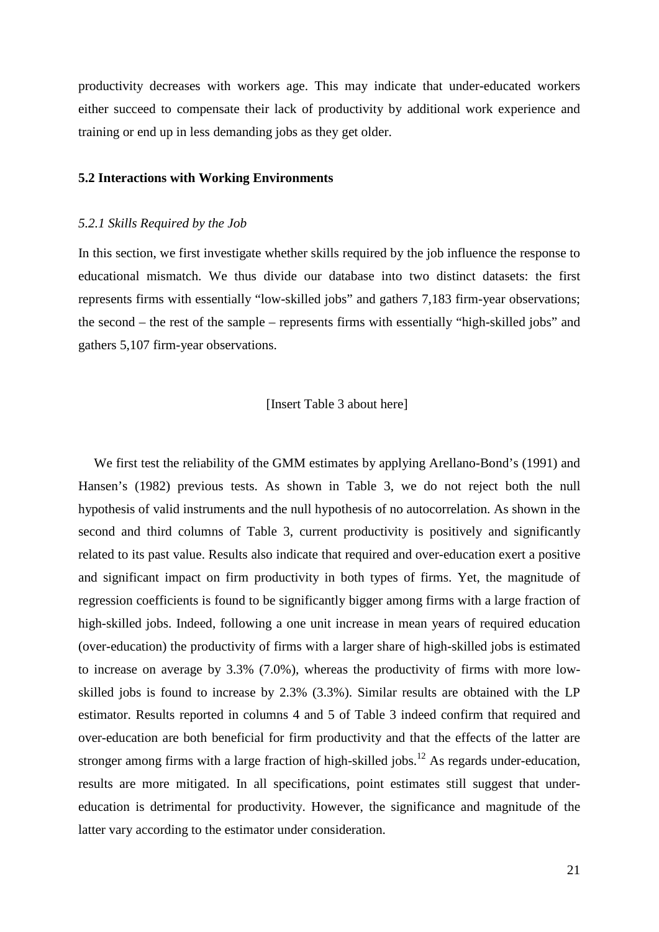productivity decreases with workers age. This may indicate that under-educated workers either succeed to compensate their lack of productivity by additional work experience and training or end up in less demanding jobs as they get older.

#### **5.2 Interactions with Working Environments**

#### *5.2.1 Skills Required by the Job*

In this section, we first investigate whether skills required by the job influence the response to educational mismatch. We thus divide our database into two distinct datasets: the first represents firms with essentially "low-skilled jobs" and gathers 7,183 firm-year observations; the second – the rest of the sample – represents firms with essentially "high-skilled jobs" and gathers 5,107 firm-year observations.

#### [Insert Table 3 about here]

We first test the reliability of the GMM estimates by applying Arellano-Bond's (1991) and Hansen's (1982) previous tests. As shown in Table 3, we do not reject both the null hypothesis of valid instruments and the null hypothesis of no autocorrelation. As shown in the second and third columns of Table 3, current productivity is positively and significantly related to its past value. Results also indicate that required and over-education exert a positive and significant impact on firm productivity in both types of firms. Yet, the magnitude of regression coefficients is found to be significantly bigger among firms with a large fraction of high-skilled jobs. Indeed, following a one unit increase in mean years of required education (over-education) the productivity of firms with a larger share of high-skilled jobs is estimated to increase on average by 3.3% (7.0%), whereas the productivity of firms with more lowskilled jobs is found to increase by 2.3% (3.3%). Similar results are obtained with the LP estimator. Results reported in columns 4 and 5 of Table 3 indeed confirm that required and over-education are both beneficial for firm productivity and that the effects of the latter are stronger among firms with a large fraction of high-skilled jobs.<sup>12</sup> As regards under-education, results are more mitigated. In all specifications, point estimates still suggest that undereducation is detrimental for productivity. However, the significance and magnitude of the latter vary according to the estimator under consideration.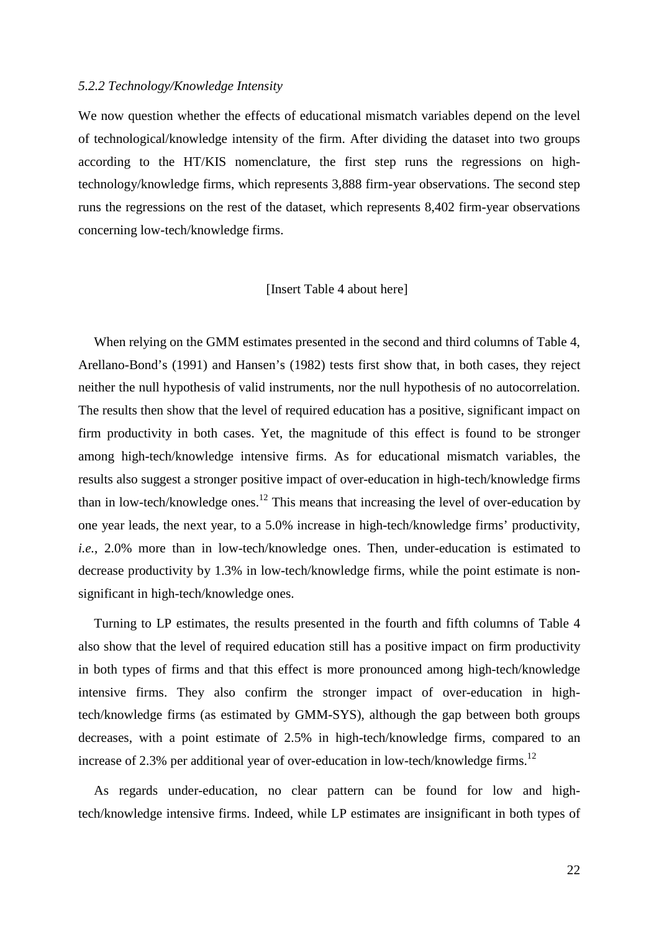#### *5.2.2 Technology/Knowledge Intensity*

We now question whether the effects of educational mismatch variables depend on the level of technological/knowledge intensity of the firm. After dividing the dataset into two groups according to the HT/KIS nomenclature, the first step runs the regressions on hightechnology/knowledge firms, which represents 3,888 firm-year observations. The second step runs the regressions on the rest of the dataset, which represents 8,402 firm-year observations concerning low-tech/knowledge firms.

#### [Insert Table 4 about here]

When relying on the GMM estimates presented in the second and third columns of Table 4, Arellano-Bond's (1991) and Hansen's (1982) tests first show that, in both cases, they reject neither the null hypothesis of valid instruments, nor the null hypothesis of no autocorrelation. The results then show that the level of required education has a positive, significant impact on firm productivity in both cases. Yet, the magnitude of this effect is found to be stronger among high-tech/knowledge intensive firms. As for educational mismatch variables, the results also suggest a stronger positive impact of over-education in high-tech/knowledge firms than in low-tech/knowledge ones.<sup>12</sup> This means that increasing the level of over-education by one year leads, the next year, to a 5.0% increase in high-tech/knowledge firms' productivity, *i.e.*, 2.0% more than in low-tech/knowledge ones. Then, under-education is estimated to decrease productivity by 1.3% in low-tech/knowledge firms, while the point estimate is nonsignificant in high-tech/knowledge ones.

Turning to LP estimates, the results presented in the fourth and fifth columns of Table 4 also show that the level of required education still has a positive impact on firm productivity in both types of firms and that this effect is more pronounced among high-tech/knowledge intensive firms. They also confirm the stronger impact of over-education in hightech/knowledge firms (as estimated by GMM-SYS), although the gap between both groups decreases, with a point estimate of 2.5% in high-tech/knowledge firms, compared to an increase of 2.3% per additional year of over-education in low-tech/knowledge firms.<sup>12</sup>

As regards under-education, no clear pattern can be found for low and hightech/knowledge intensive firms. Indeed, while LP estimates are insignificant in both types of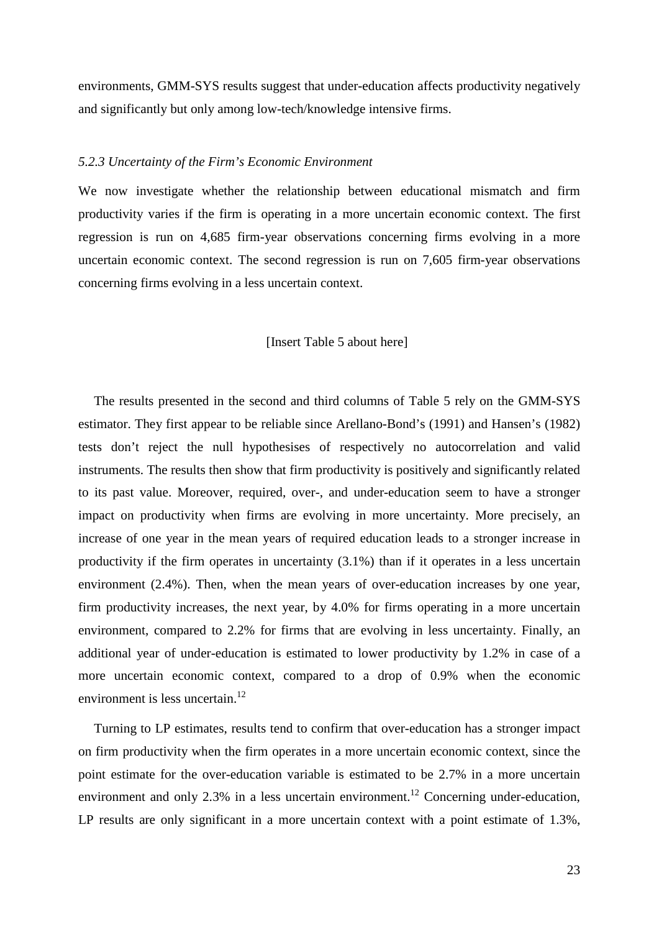environments, GMM-SYS results suggest that under-education affects productivity negatively and significantly but only among low-tech/knowledge intensive firms.

#### *5.2.3 Uncertainty of the Firm's Economic Environment*

We now investigate whether the relationship between educational mismatch and firm productivity varies if the firm is operating in a more uncertain economic context. The first regression is run on 4,685 firm-year observations concerning firms evolving in a more uncertain economic context. The second regression is run on 7,605 firm-year observations concerning firms evolving in a less uncertain context.

#### [Insert Table 5 about here]

The results presented in the second and third columns of Table 5 rely on the GMM-SYS estimator. They first appear to be reliable since Arellano-Bond's (1991) and Hansen's (1982) tests don't reject the null hypothesises of respectively no autocorrelation and valid instruments. The results then show that firm productivity is positively and significantly related to its past value. Moreover, required, over-, and under-education seem to have a stronger impact on productivity when firms are evolving in more uncertainty. More precisely, an increase of one year in the mean years of required education leads to a stronger increase in productivity if the firm operates in uncertainty (3.1%) than if it operates in a less uncertain environment (2.4%). Then, when the mean years of over-education increases by one year, firm productivity increases, the next year, by 4.0% for firms operating in a more uncertain environment, compared to 2.2% for firms that are evolving in less uncertainty. Finally, an additional year of under-education is estimated to lower productivity by 1.2% in case of a more uncertain economic context, compared to a drop of 0.9% when the economic environment is less uncertain.<sup>12</sup>

Turning to LP estimates, results tend to confirm that over-education has a stronger impact on firm productivity when the firm operates in a more uncertain economic context, since the point estimate for the over-education variable is estimated to be 2.7% in a more uncertain environment and only 2.3% in a less uncertain environment.<sup>12</sup> Concerning under-education, LP results are only significant in a more uncertain context with a point estimate of 1.3%.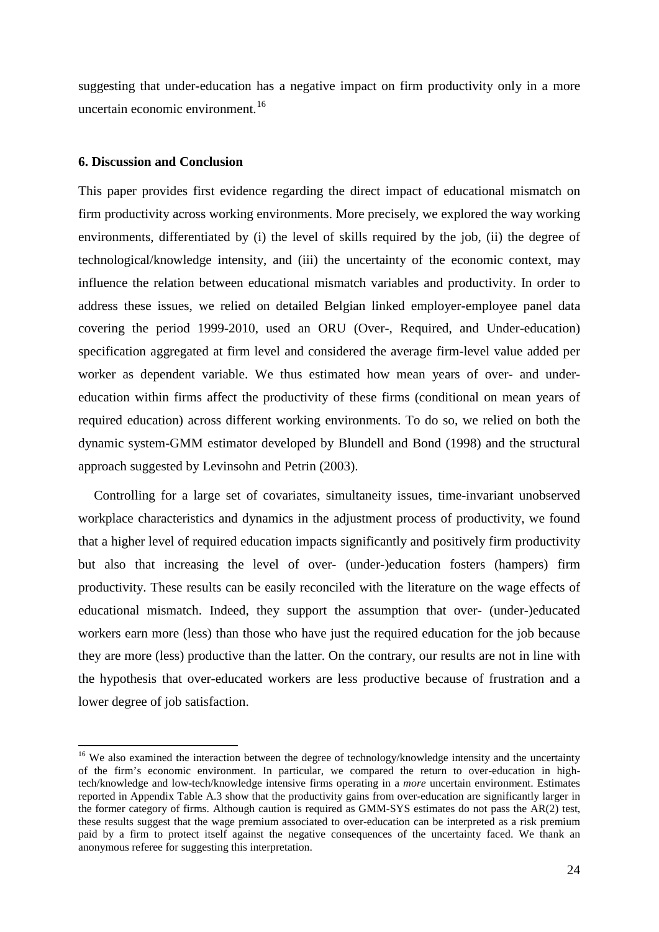suggesting that under-education has a negative impact on firm productivity only in a more uncertain economic environment. [16](#page-21-1)

#### **6. Discussion and Conclusion**

This paper provides first evidence regarding the direct impact of educational mismatch on firm productivity across working environments. More precisely, we explored the way working environments, differentiated by (i) the level of skills required by the job, (ii) the degree of technological/knowledge intensity, and (iii) the uncertainty of the economic context, may influence the relation between educational mismatch variables and productivity. In order to address these issues, we relied on detailed Belgian linked employer-employee panel data covering the period 1999-2010, used an ORU (Over-, Required, and Under-education) specification aggregated at firm level and considered the average firm-level value added per worker as dependent variable. We thus estimated how mean years of over- and undereducation within firms affect the productivity of these firms (conditional on mean years of required education) across different working environments. To do so, we relied on both the dynamic system-GMM estimator developed by Blundell and Bond (1998) and the structural approach suggested by Levinsohn and Petrin (2003).

Controlling for a large set of covariates, simultaneity issues, time-invariant unobserved workplace characteristics and dynamics in the adjustment process of productivity, we found that a higher level of required education impacts significantly and positively firm productivity but also that increasing the level of over- (under-)education fosters (hampers) firm productivity. These results can be easily reconciled with the literature on the wage effects of educational mismatch. Indeed, they support the assumption that over- (under-)educated workers earn more (less) than those who have just the required education for the job because they are more (less) productive than the latter. On the contrary, our results are not in line with the hypothesis that over-educated workers are less productive because of frustration and a lower degree of job satisfaction.

<sup>&</sup>lt;sup>16</sup> We also examined the interaction between the degree of technology/knowledge intensity and the uncertainty of the firm's economic environment. In particular, we compared the return to over-education in hightech/knowledge and low-tech/knowledge intensive firms operating in a *more* uncertain environment. Estimates reported in Appendix Table A.3 show that the productivity gains from over-education are significantly larger in the former category of firms. Although caution is required as GMM-SYS estimates do not pass the AR(2) test, these results suggest that the wage premium associated to over-education can be interpreted as a risk premium paid by a firm to protect itself against the negative consequences of the uncertainty faced. We thank an anonymous referee for suggesting this interpretation.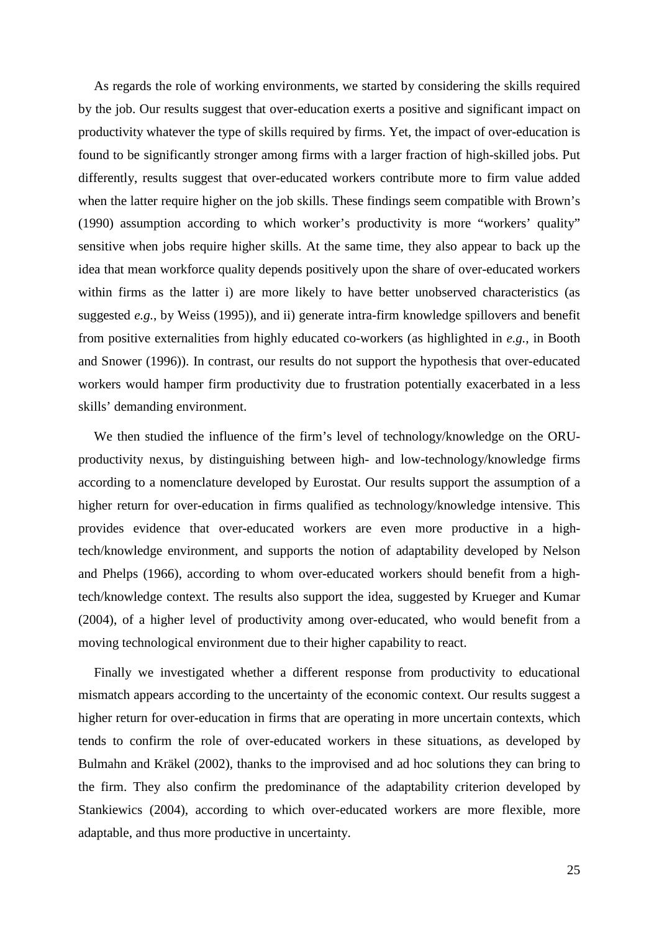As regards the role of working environments, we started by considering the skills required by the job. Our results suggest that over-education exerts a positive and significant impact on productivity whatever the type of skills required by firms. Yet, the impact of over-education is found to be significantly stronger among firms with a larger fraction of high-skilled jobs. Put differently, results suggest that over-educated workers contribute more to firm value added when the latter require higher on the job skills. These findings seem compatible with Brown's (1990) assumption according to which worker's productivity is more "workers' quality" sensitive when jobs require higher skills. At the same time, they also appear to back up the idea that mean workforce quality depends positively upon the share of over-educated workers within firms as the latter i) are more likely to have better unobserved characteristics (as suggested *e.g.*, by Weiss (1995)), and ii) generate intra-firm knowledge spillovers and benefit from positive externalities from highly educated co-workers (as highlighted in *e.g.*, in Booth and Snower (1996)). In contrast, our results do not support the hypothesis that over-educated workers would hamper firm productivity due to frustration potentially exacerbated in a less skills' demanding environment.

We then studied the influence of the firm's level of technology/knowledge on the ORUproductivity nexus, by distinguishing between high- and low-technology/knowledge firms according to a nomenclature developed by Eurostat. Our results support the assumption of a higher return for over-education in firms qualified as technology/knowledge intensive. This provides evidence that over-educated workers are even more productive in a hightech/knowledge environment, and supports the notion of adaptability developed by Nelson and Phelps (1966), according to whom over-educated workers should benefit from a hightech/knowledge context. The results also support the idea, suggested by Krueger and Kumar (2004), of a higher level of productivity among over-educated, who would benefit from a moving technological environment due to their higher capability to react.

Finally we investigated whether a different response from productivity to educational mismatch appears according to the uncertainty of the economic context. Our results suggest a higher return for over-education in firms that are operating in more uncertain contexts, which tends to confirm the role of over-educated workers in these situations, as developed by Bulmahn and Kräkel (2002), thanks to the improvised and ad hoc solutions they can bring to the firm. They also confirm the predominance of the adaptability criterion developed by Stankiewics (2004), according to which over-educated workers are more flexible, more adaptable, and thus more productive in uncertainty.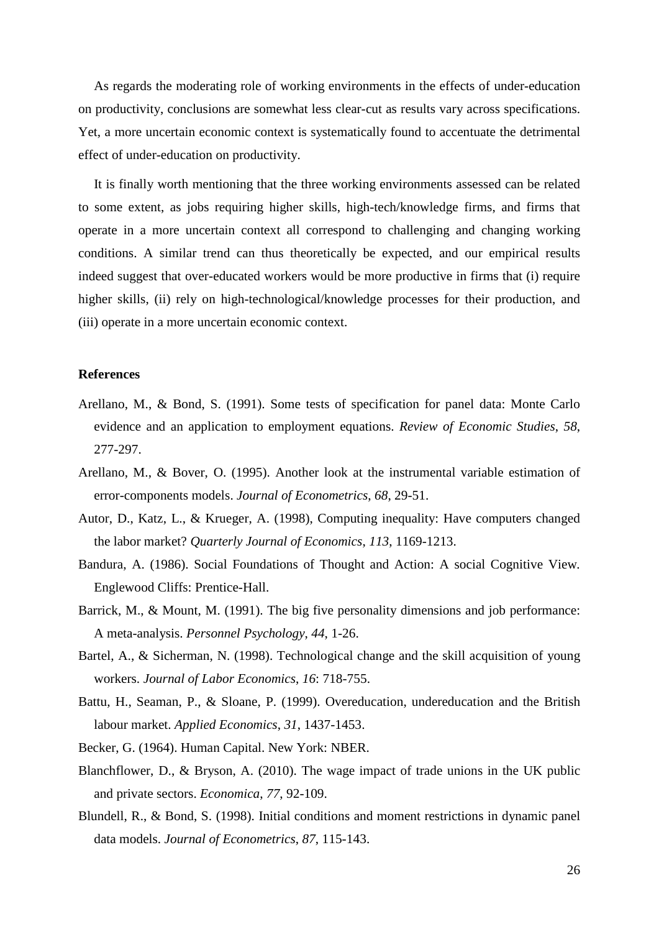As regards the moderating role of working environments in the effects of under-education on productivity, conclusions are somewhat less clear-cut as results vary across specifications. Yet, a more uncertain economic context is systematically found to accentuate the detrimental effect of under-education on productivity.

It is finally worth mentioning that the three working environments assessed can be related to some extent, as jobs requiring higher skills, high-tech/knowledge firms, and firms that operate in a more uncertain context all correspond to challenging and changing working conditions. A similar trend can thus theoretically be expected, and our empirical results indeed suggest that over-educated workers would be more productive in firms that (i) require higher skills, (ii) rely on high-technological/knowledge processes for their production, and (iii) operate in a more uncertain economic context.

#### **References**

- Arellano, M., & Bond, S. (1991). Some tests of specification for panel data: Monte Carlo evidence and an application to employment equations. *Review of Economic Studies*, *58*, 277-297.
- Arellano, M., & Bover, O. (1995). Another look at the instrumental variable estimation of error-components models. *Journal of Econometrics*, *68*, 29-51.
- Autor, D., Katz, L., & Krueger, A. (1998), Computing inequality: Have computers changed the labor market? *Quarterly Journal of Economics*, *113*, 1169-1213.
- Bandura, A. (1986). Social Foundations of Thought and Action: A social Cognitive View*.*  Englewood Cliffs: Prentice-Hall.
- Barrick, M., & Mount, M. (1991). The big five personality dimensions and job performance: A meta-analysis. *Personnel Psychology*, *44*, 1-26.
- Bartel, A., & Sicherman, N. (1998). Technological change and the skill acquisition of young workers. *Journal of Labor Economics*, *16*: 718-755.
- Battu, H., Seaman, P., & Sloane, P. (1999). Overeducation, undereducation and the British labour market. *Applied Economics*, *31*, 1437-1453.
- Becker, G. (1964). Human Capital. New York: NBER.
- Blanchflower, D., & Bryson, A. (2010). The wage impact of trade unions in the UK public and private sectors. *Economica*, *77*, 92-109.
- Blundell, R., & Bond, S. (1998). Initial conditions and moment restrictions in dynamic panel data models. *Journal of Econometrics*, *87*, 115-143.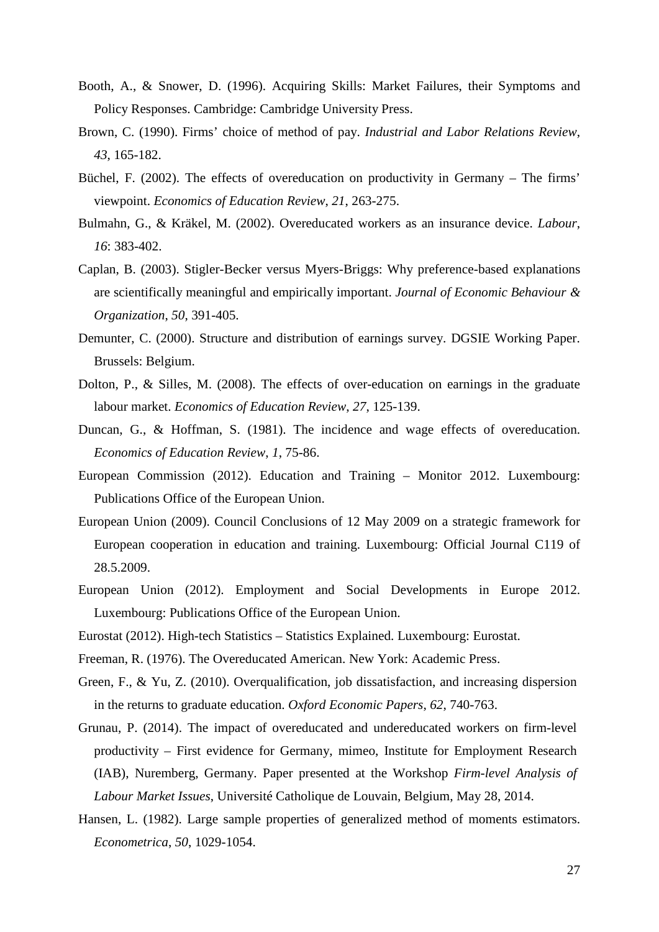- Booth, A., & Snower, D. (1996). Acquiring Skills: Market Failures, their Symptoms and Policy Responses. Cambridge: Cambridge University Press.
- Brown, C. (1990). Firms' choice of method of pay. *Industrial and Labor Relations Review*, *43*, 165-182.
- Büchel, F. (2002). The effects of overeducation on productivity in Germany The firms' viewpoint. *Economics of Education Review*, *21*, 263-275.
- Bulmahn, G., & Kräkel, M. (2002). Overeducated workers as an insurance device. *Labour*, *16*: 383-402.
- Caplan, B. (2003). Stigler-Becker versus Myers-Briggs: Why preference-based explanations are scientifically meaningful and empirically important. *Journal of Economic Behaviour & Organization*, *50*, 391-405.
- Demunter, C. (2000). Structure and distribution of earnings survey. DGSIE Working Paper. Brussels: Belgium.
- Dolton, P., & Silles, M. (2008). The effects of over-education on earnings in the graduate labour market. *Economics of Education Review*, *27*, 125-139.
- Duncan, G., & Hoffman, S. (1981). The incidence and wage effects of overeducation. *Economics of Education Review*, *1*, 75-86.
- European Commission (2012). Education and Training Monitor 2012. Luxembourg: Publications Office of the European Union.
- European Union (2009). Council Conclusions of 12 May 2009 on a strategic framework for European cooperation in education and training. Luxembourg: Official Journal C119 of 28.5.2009.
- European Union (2012). Employment and Social Developments in Europe 2012. Luxembourg: Publications Office of the European Union.
- Eurostat (2012). High-tech Statistics Statistics Explained. Luxembourg: Eurostat.
- Freeman, R. (1976). The Overeducated American. New York: Academic Press.
- Green, F., & Yu, Z. (2010). Overqualification, job dissatisfaction, and increasing dispersion in the returns to graduate education. *Oxford Economic Papers*, *62*, 740-763.
- Grunau, P. (2014). The impact of overeducated and undereducated workers on firm-level productivity – First evidence for Germany, mimeo, Institute for Employment Research (IAB), Nuremberg, Germany. Paper presented at the Workshop *[Firm-level Analysis of](http://perso.uclouvain.be/vincent.vandenberghe/Workshop2014/FLALMIssues.html)  [Labour Market Issues](http://perso.uclouvain.be/vincent.vandenberghe/Workshop2014/FLALMIssues.html)*, Université Catholique de Louvain, Belgium, May 28, 2014.
- Hansen, L. (1982). Large sample properties of generalized method of moments estimators. *Econometrica*, *50*, 1029-1054.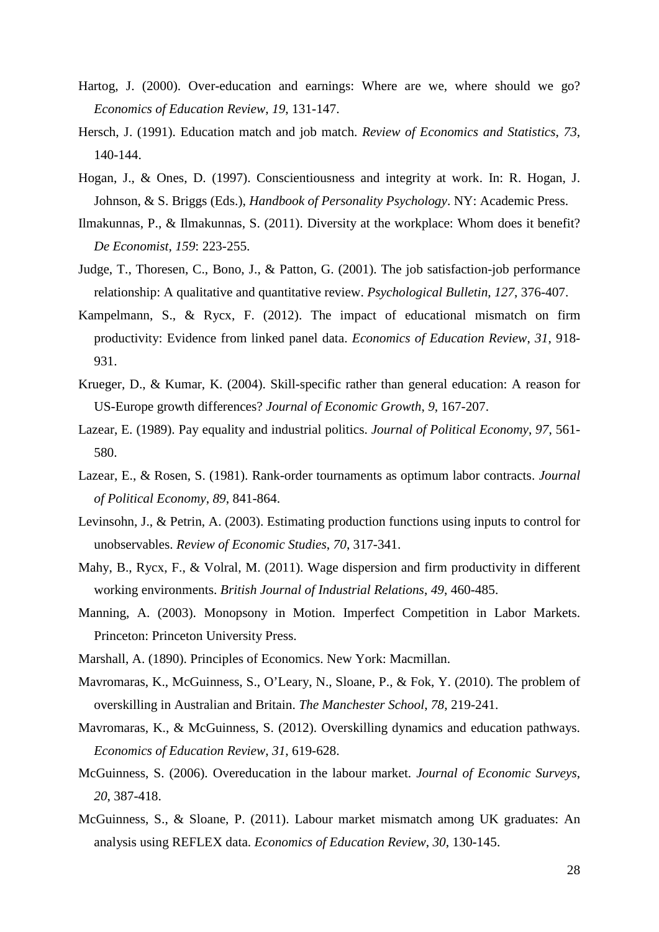- Hartog, J. (2000). Over-education and earnings: Where are we, where should we go? *Economics of Education Review*, *19*, 131-147.
- Hersch, J. (1991). Education match and job match. *Review of Economics and Statistics*, *73*, 140-144.
- Hogan, J., & Ones, D. (1997). Conscientiousness and integrity at work. In: R. Hogan, J. Johnson, & S. Briggs (Eds.), *Handbook of Personality Psychology*. NY: Academic Press.
- Ilmakunnas, P., & Ilmakunnas, S. (2011). Diversity at the workplace: Whom does it benefit? *De Economist*, *159*: 223-255.
- Judge, T., Thoresen, C., Bono, J., & Patton, G. (2001). The job satisfaction-job performance relationship: A qualitative and quantitative review. *Psychological Bulletin*, *127*, 376-407.
- Kampelmann, S., & Rycx, F. (2012). The impact of educational mismatch on firm productivity: Evidence from linked panel data. *Economics of Education Review*, *31*, 918- 931.
- Krueger, D., & Kumar, K. (2004). Skill-specific rather than general education: A reason for US-Europe growth differences? *Journal of Economic Growth*, *9*, 167-207.
- Lazear, E. (1989). Pay equality and industrial politics. *Journal of Political Economy*, *97*, 561- 580.
- Lazear, E., & Rosen, S. (1981). Rank-order tournaments as optimum labor contracts. *Journal of Political Economy*, *89*, 841-864.
- Levinsohn, J., & Petrin, A. (2003). Estimating production functions using inputs to control for unobservables. *Review of Economic Studies*, *70*, 317-341.
- Mahy, B., Rycx, F., & Volral, M. (2011). Wage dispersion and firm productivity in different working environments. *British Journal of Industrial Relations*, *49*, 460-485.
- Manning, A. (2003). Monopsony in Motion. Imperfect Competition in Labor Markets. Princeton: Princeton University Press.
- Marshall, A. (1890). Principles of Economics. New York: Macmillan.
- Mavromaras, K., McGuinness, S., O'Leary, N., Sloane, P., & Fok, Y. (2010). The problem of overskilling in Australian and Britain. *The Manchester School*, *78*, 219-241.
- Mavromaras, K., & McGuinness, S. (2012). Overskilling dynamics and education pathways. *Economics of Education Review*, *31*, 619-628.
- McGuinness, S. (2006). Overeducation in the labour market. *Journal of Economic Surveys*, *20*, 387-418.
- McGuinness, S., & Sloane, P. (2011). Labour market mismatch among UK graduates: An analysis using REFLEX data. *Economics of Education Review*, *30*, 130-145.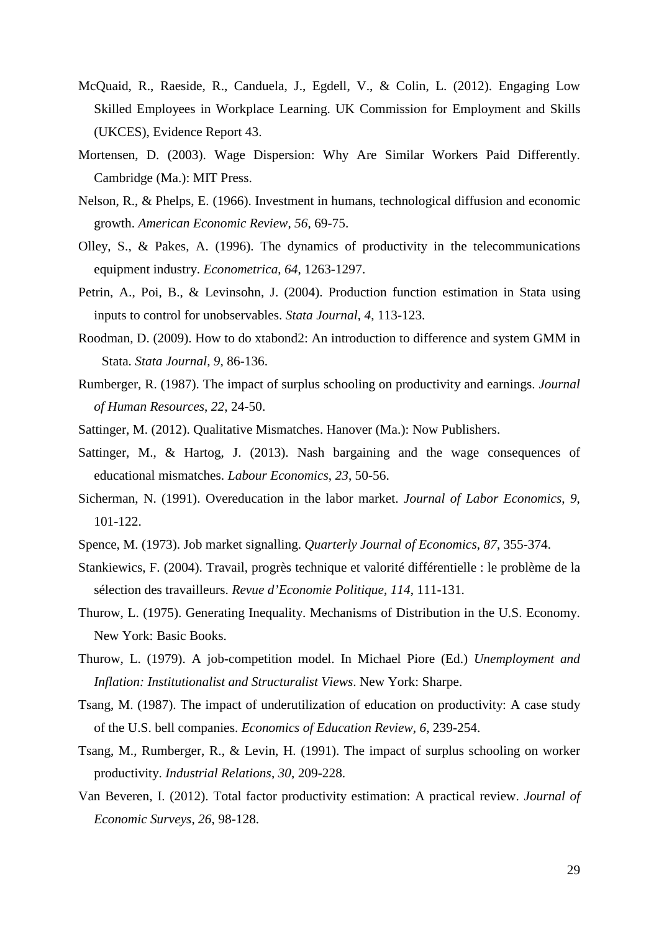- McQuaid, R., Raeside, R., Canduela, J., Egdell, V., & Colin, L. (2012). Engaging Low Skilled Employees in Workplace Learning. UK Commission for Employment and Skills (UKCES), Evidence Report 43.
- Mortensen, D. (2003). Wage Dispersion: Why Are Similar Workers Paid Differently. Cambridge (Ma.): MIT Press.
- Nelson, R., & Phelps, E. (1966). Investment in humans, technological diffusion and economic growth. *American Economic Review*, *56*, 69-75.
- Olley, S., & Pakes, A. (1996). The dynamics of productivity in the telecommunications equipment industry. *Econometrica*, *64*, 1263-1297.
- Petrin, A., Poi, B., & Levinsohn, J. (2004). Production function estimation in Stata using inputs to control for unobservables. *Stata Journal*, *4*, 113-123.
- Roodman, D. (2009). How to do xtabond2: An introduction to difference and system GMM in Stata. *Stata Journal*, *9*, 86-136.
- Rumberger, R. (1987). The impact of surplus schooling on productivity and earnings. *Journal of Human Resources*, *22*, 24-50.
- Sattinger, M. (2012). [Qualitative Mismatches.](http://ideas.repec.org/a/now/fntmic/0700000052.html) Hanover (Ma.): Now Publishers.
- Sattinger, M., & Hartog, J. (2013). [Nash bargaining and the wage consequences of](http://ideas.repec.org/a/eee/labeco/v23y2013icp50-56.html)  [educational mismatches.](http://ideas.repec.org/a/eee/labeco/v23y2013icp50-56.html) *[Labour Economics](http://ideas.repec.org/s/eee/labeco.html)*, *23*, 50-56.
- Sicherman, N. (1991). Overeducation in the labor market. *Journal of Labor Economics*, *9*, 101-122.
- Spence, M. (1973). Job market signalling. *Quarterly Journal of Economics*, *87*, 355-374.
- Stankiewics, F. (2004). Travail, progrès technique et valorité différentielle : le problème de la sélection des travailleurs. *Revue d'Economie Politique*, *114*, 111-131.
- Thurow, L. (1975). Generating Inequality. Mechanisms of Distribution in the U.S. Economy. New York: Basic Books.
- Thurow, L. (1979). A job-competition model. In Michael Piore (Ed.) *Unemployment and Inflation: Institutionalist and Structuralist Views*. New York: Sharpe.
- Tsang, M. (1987). The impact of underutilization of education on productivity: A case study of the U.S. bell companies. *Economics of Education Review*, *6*, 239-254.
- Tsang, M., Rumberger, R., & Levin, H. (1991). The impact of surplus schooling on worker productivity. *Industrial Relations*, *30*, 209-228.
- Van Beveren, I. (2012). Total factor productivity estimation: A practical review. *Journal of Economic Surveys*, *26*, 98-128.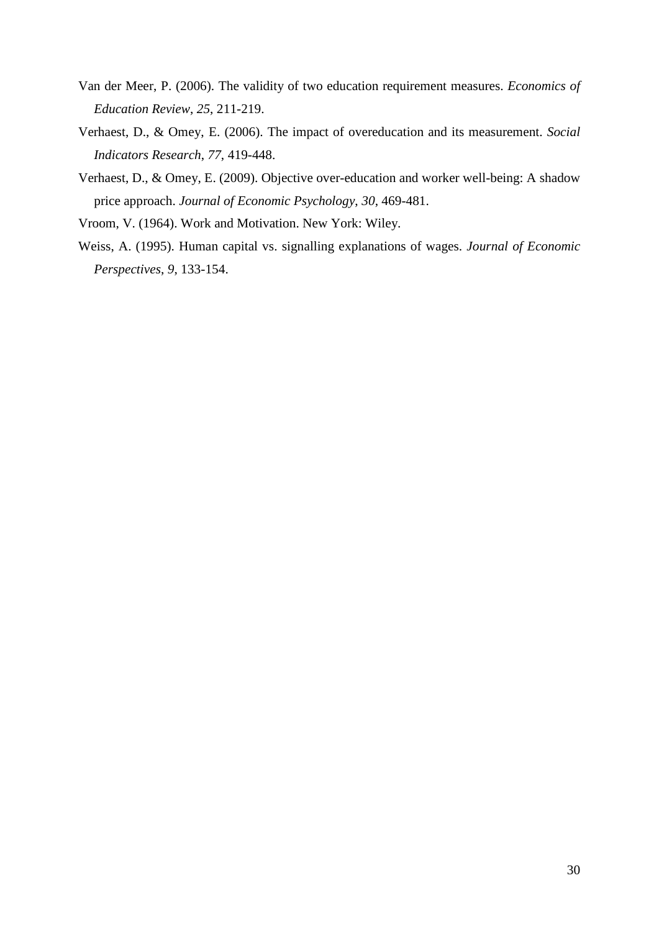- Van der Meer, P. (2006). The validity of two education requirement measures. *Economics of Education Review*, *25*, 211-219.
- Verhaest, D., & Omey, E. (2006). The impact of overeducation and its measurement. *Social Indicators Research*, *77*, 419-448.
- Verhaest, D., & Omey, E. (2009). Objective over-education and worker well-being: A shadow price approach. *Journal of Economic Psychology*, *30*, 469-481.
- Vroom, V. (1964). Work and Motivation. New York: Wiley.
- Weiss, A. (1995). Human capital vs. signalling explanations of wages. *Journal of Economic Perspectives*, *9*, 133-154.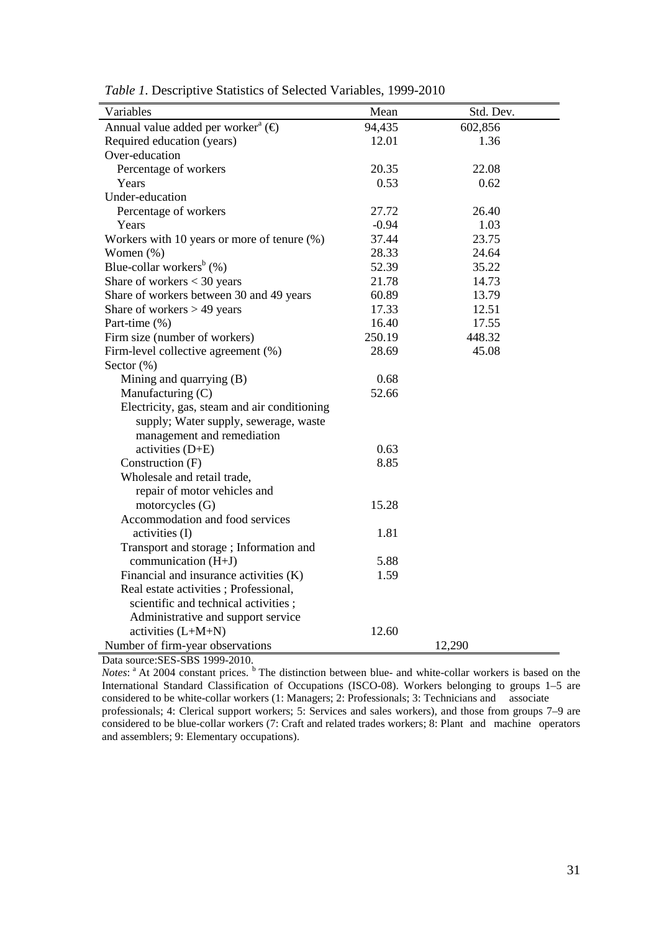| Variables                                                | Mean    | Std. Dev. |
|----------------------------------------------------------|---------|-----------|
| Annual value added per worker <sup>a</sup> ( $\bigoplus$ | 94,435  | 602,856   |
| Required education (years)                               | 12.01   | 1.36      |
| Over-education                                           |         |           |
| Percentage of workers                                    | 20.35   | 22.08     |
| Years                                                    | 0.53    | 0.62      |
| Under-education                                          |         |           |
| Percentage of workers                                    | 27.72   | 26.40     |
| Years                                                    | $-0.94$ | 1.03      |
| Workers with 10 years or more of tenure $(\%)$           | 37.44   | 23.75     |
| Women $(\%)$                                             | 28.33   | 24.64     |
| Blue-collar workers <sup>b</sup> (%)                     | 52.39   | 35.22     |
| Share of workers $<$ 30 years                            | 21.78   | 14.73     |
| Share of workers between 30 and 49 years                 | 60.89   | 13.79     |
| Share of workers $> 49$ years                            | 17.33   | 12.51     |
| Part-time (%)                                            | 16.40   | 17.55     |
| Firm size (number of workers)                            | 250.19  | 448.32    |
| Firm-level collective agreement (%)                      | 28.69   | 45.08     |
| Sector $(\%)$                                            |         |           |
| Mining and quarrying (B)                                 | 0.68    |           |
| Manufacturing (C)                                        | 52.66   |           |
| Electricity, gas, steam and air conditioning             |         |           |
| supply; Water supply, sewerage, waste                    |         |           |
| management and remediation                               |         |           |
| activities $(D+E)$                                       | 0.63    |           |
| Construction (F)                                         | 8.85    |           |
| Wholesale and retail trade,                              |         |           |
| repair of motor vehicles and                             |         |           |
| motorcycles (G)                                          | 15.28   |           |
| Accommodation and food services                          |         |           |
| activities (I)                                           | 1.81    |           |
| Transport and storage; Information and                   |         |           |
| communication $(H+J)$                                    | 5.88    |           |
| Financial and insurance activities (K)                   | 1.59    |           |
| Real estate activities; Professional,                    |         |           |
| scientific and technical activities;                     |         |           |
| Administrative and support service                       |         |           |
| activities $(L+M+N)$                                     | 12.60   |           |
| Number of firm-year observations                         |         | 12,290    |

*Table 1*. Descriptive Statistics of Selected Variables, 1999-2010

Data source:SES-SBS 1999-2010.

*Notes*: <sup>a</sup> At 2004 constant prices. <sup>b</sup> The distinction between blue- and white-collar workers is based on the International Standard Classification of Occupations (ISCO-08). Workers belonging to groups 1–5 are considered to be white-collar workers (1: Managers; 2: Professionals; 3: Technicians and associate professionals; 4: Clerical support workers; 5: Services and sales workers), and those from groups 7–9 are

considered to be blue-collar workers (7: Craft and related trades workers; 8: Plant and machine operators and assemblers; 9: Elementary occupations).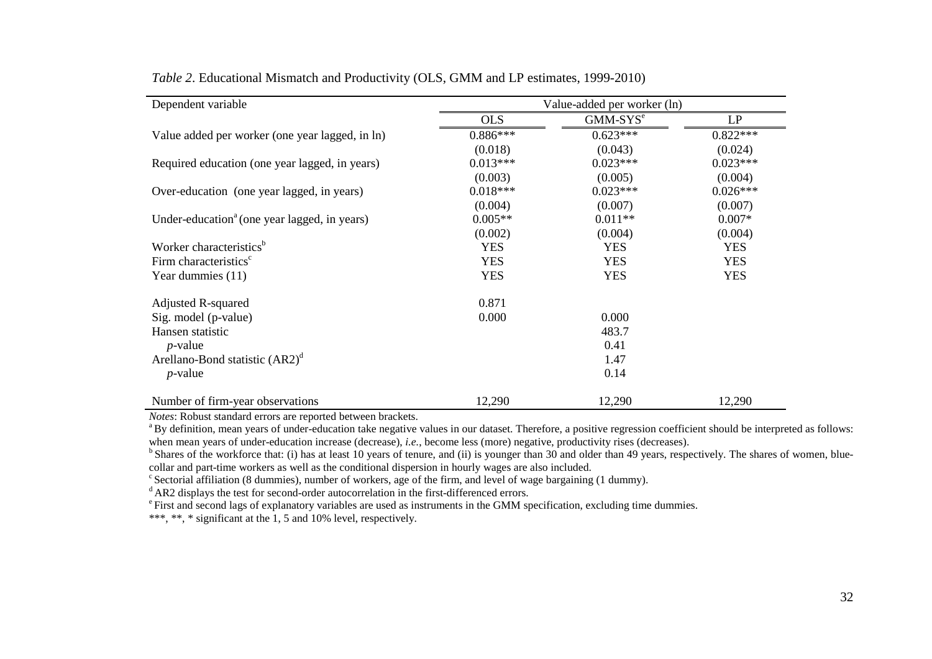| Dependent variable                                       | Value-added per worker (ln) |            |            |  |
|----------------------------------------------------------|-----------------------------|------------|------------|--|
|                                                          | <b>OLS</b>                  | $GMM-SYSe$ | LP         |  |
| Value added per worker (one year lagged, in ln)          | $0.886***$                  | $0.623***$ | $0.822***$ |  |
|                                                          | (0.018)                     | (0.043)    | (0.024)    |  |
| Required education (one year lagged, in years)           | $0.013***$                  | $0.023***$ | $0.023***$ |  |
|                                                          | (0.003)                     | (0.005)    | (0.004)    |  |
| Over-education (one year lagged, in years)               | $0.018***$                  | $0.023***$ | $0.026***$ |  |
|                                                          | (0.004)                     | (0.007)    | (0.007)    |  |
| Under-education <sup>a</sup> (one year lagged, in years) | $0.005**$                   | $0.011**$  | $0.007*$   |  |
|                                                          | (0.002)                     | (0.004)    | (0.004)    |  |
| Worker characteristics <sup>b</sup>                      | <b>YES</b>                  | <b>YES</b> | <b>YES</b> |  |
| Firm characteristics <sup>c</sup>                        | <b>YES</b>                  | <b>YES</b> | <b>YES</b> |  |
| Year dummies $(11)$                                      | <b>YES</b>                  | <b>YES</b> | <b>YES</b> |  |
| Adjusted R-squared                                       | 0.871                       |            |            |  |
| Sig. model (p-value)                                     | 0.000                       | 0.000      |            |  |
| Hansen statistic                                         |                             | 483.7      |            |  |
| $p$ -value                                               |                             | 0.41       |            |  |
| Arellano-Bond statistic $(AR2)^d$                        |                             | 1.47       |            |  |
| $p$ -value                                               |                             | 0.14       |            |  |
| Number of firm-year observations                         | 12,290                      | 12,290     | 12,290     |  |

*Table 2*. Educational Mismatch and Productivity (OLS, GMM and LP estimates, 1999-2010)

*Notes*: Robust standard errors are reported between brackets.<br><sup>a</sup> By definition, mean years of under-education take negative values in our dataset. Therefore, a positive regression coefficient should be interpreted as fol

 $<sup>b</sup>$  Shares of the workforce that: (i) has at least 10 years of tenure, and (ii) is younger than 30 and older than 49 years, respectively. The shares of women, blue-collar and part-time workers as well as the conditio</sup>

<sup>c</sup> Sectorial affiliation (8 dummies), number of workers, age of the firm, and level of wage bargaining (1 dummy).  $\frac{d}{d}$  AR2 displays the test for second-order autocorrelation in the first-differenced errors.

<sup>e</sup> First and second-lags of explanatory variables are used as instruments in the GMM specification, excluding time dummies.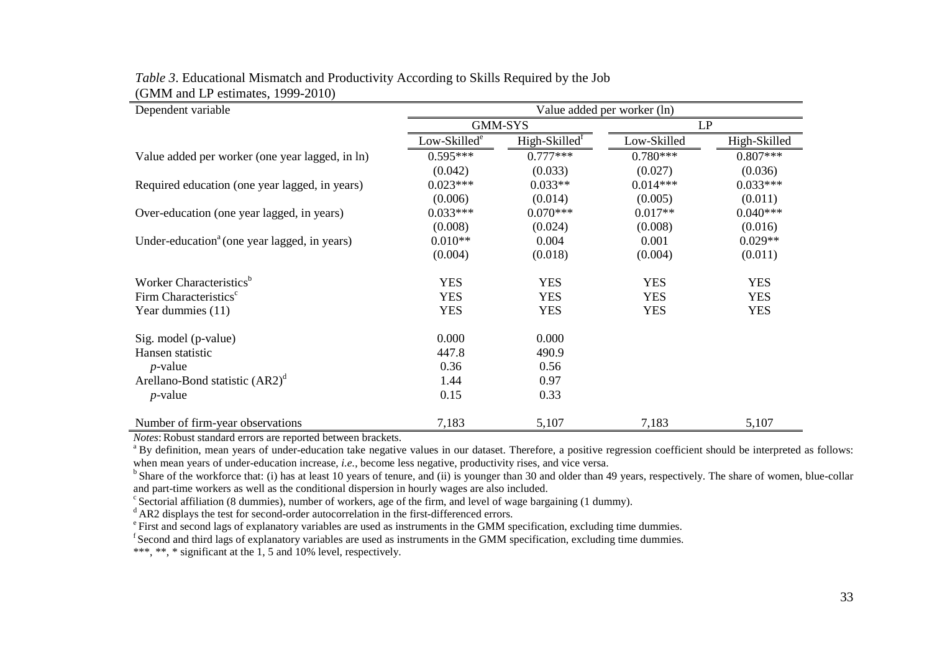| Dependent variable                                       | Value added per worker (ln) |                           |             |              |
|----------------------------------------------------------|-----------------------------|---------------------------|-------------|--------------|
|                                                          | <b>GMM-SYS</b>              |                           | LP          |              |
|                                                          | Low-Skilled <sup>e</sup>    | High-Skilled <sup>t</sup> | Low-Skilled | High-Skilled |
| Value added per worker (one year lagged, in ln)          | $0.595***$                  | $0.777***$                | $0.780***$  | $0.807***$   |
|                                                          | (0.042)                     | (0.033)                   | (0.027)     | (0.036)      |
| Required education (one year lagged, in years)           | $0.023***$                  | $0.033**$                 | $0.014***$  | $0.033***$   |
|                                                          | (0.006)                     | (0.014)                   | (0.005)     | (0.011)      |
| Over-education (one year lagged, in years)               | $0.033***$                  | $0.070***$                | $0.017**$   | $0.040***$   |
|                                                          | (0.008)                     | (0.024)                   | (0.008)     | (0.016)      |
| Under-education <sup>a</sup> (one year lagged, in years) | $0.010**$                   | 0.004                     | 0.001       | $0.029**$    |
|                                                          | (0.004)                     | (0.018)                   | (0.004)     | (0.011)      |
| Worker Characteristics <sup>b</sup>                      | <b>YES</b>                  | <b>YES</b>                | <b>YES</b>  | <b>YES</b>   |
| Firm Characteristics <sup>c</sup>                        | <b>YES</b>                  | <b>YES</b>                | <b>YES</b>  | <b>YES</b>   |
| Year dummies $(11)$                                      | <b>YES</b>                  | <b>YES</b>                | <b>YES</b>  | <b>YES</b>   |
| Sig. model (p-value)                                     | 0.000                       | 0.000                     |             |              |
| Hansen statistic                                         | 447.8                       | 490.9                     |             |              |
| $p$ -value                                               | 0.36                        | 0.56                      |             |              |
| Arellano-Bond statistic $(AR2)^d$                        | 1.44                        | 0.97                      |             |              |
| $p$ -value                                               | 0.15                        | 0.33                      |             |              |
| Number of firm-year observations                         | 7,183                       | 5,107                     | 7,183       | 5,107        |

*Table 3*. Educational Mismatch and Productivity According to Skills Required by the Job (GMM and LP estimates, 1999-2010)

Notes: Robust standard errors are reported between brackets.<br><sup>a</sup> By definition, mean years of under-education take negative values in our dataset. Therefore, a positive regression coefficient should be interpreted as follo

 $<sup>b</sup>$  Share of the workforce that: (i) has at least 10 years of tenure, and (ii) is younger than 30 and older than 49 years, respectively. The share of women, blue-collar and part-time workers as well as the conditiona</sup>

<sup>c</sup> Sectorial affiliation (8 dummies), number of workers, age of the firm, and level of wage bargaining (1 dummy).  $\frac{d}{d}$  AR2 displays the test for second-order autocorrelation in the first-differenced errors.

<sup>e</sup> First and second lags of explanatory variables are used as instruments in the GMM specification, excluding time dummies.<br><sup>f</sup> Second and third lags of explanatory variables are used as instruments in the GMM specificati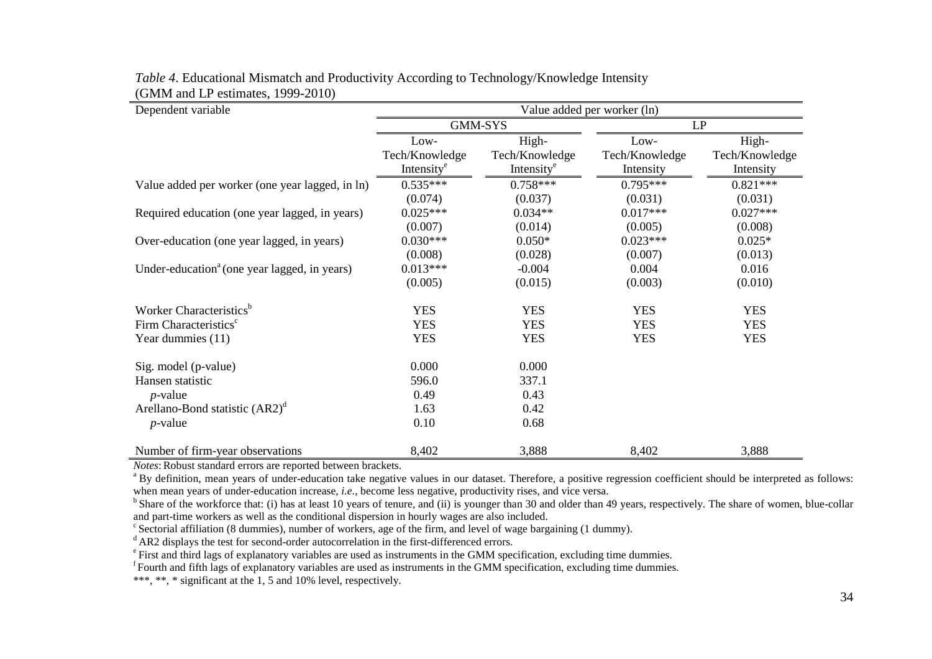| Dependent variable                                       | Value added per worker (ln) |                        |                |                |
|----------------------------------------------------------|-----------------------------|------------------------|----------------|----------------|
|                                                          | <b>GMM-SYS</b>              |                        |                | LP             |
|                                                          | Low-                        | High-                  | Low-           | High-          |
|                                                          | Tech/Knowledge              | Tech/Knowledge         | Tech/Knowledge | Tech/Knowledge |
|                                                          | Intensity <sup>e</sup>      | Intensity <sup>e</sup> | Intensity      | Intensity      |
| Value added per worker (one year lagged, in ln)          | $0.535***$                  | $0.758***$             | $0.795***$     | $0.821***$     |
|                                                          | (0.074)                     | (0.037)                | (0.031)        | (0.031)        |
| Required education (one year lagged, in years)           | $0.025***$                  | $0.034**$              | $0.017***$     | $0.027***$     |
|                                                          | (0.007)                     | (0.014)                | (0.005)        | (0.008)        |
| Over-education (one year lagged, in years)               | $0.030***$                  | $0.050*$               | $0.023***$     | $0.025*$       |
|                                                          | (0.008)                     | (0.028)                | (0.007)        | (0.013)        |
| Under-education <sup>a</sup> (one year lagged, in years) | $0.013***$                  | $-0.004$               | 0.004          | 0.016          |
|                                                          | (0.005)                     | (0.015)                | (0.003)        | (0.010)        |
| Worker Characteristics <sup>b</sup>                      | <b>YES</b>                  | <b>YES</b>             | <b>YES</b>     | <b>YES</b>     |
| Firm Characteristics <sup>c</sup>                        | <b>YES</b>                  | <b>YES</b>             | <b>YES</b>     | <b>YES</b>     |
| Year dummies (11)                                        | <b>YES</b>                  | <b>YES</b>             | <b>YES</b>     | <b>YES</b>     |
| Sig. model (p-value)                                     | 0.000                       | 0.000                  |                |                |
| Hansen statistic                                         | 596.0                       | 337.1                  |                |                |
| $p$ -value                                               | 0.49                        | 0.43                   |                |                |
| Arellano-Bond statistic $(AR2)^d$                        | 1.63                        | 0.42                   |                |                |
| $p$ -value                                               | 0.10                        | 0.68                   |                |                |
| Number of firm-year observations                         | 8,402                       | 3,888                  | 8,402          | 3,888          |

*Table 4*. Educational Mismatch and Productivity According to Technology/Knowledge Intensity (GMM and LP estimates, 1999-2010)

Notes: Robust standard errors are reported between brackets.<br><sup>a</sup> By definition, mean years of under-education take negative values in our dataset. Therefore, a positive regression coefficient should be interpreted as follo

 $<sup>b</sup>$  Share of the workforce that: (i) has at least 10 years of tenure, and (ii) is younger than 30 and older than 49 years, respectively. The share of women, blue-collar and part-time workers as well as the conditiona</sup>

<sup>c</sup> Sectorial affiliation (8 dummies), number of workers, age of the firm, and level of wage bargaining (1 dummy).  $\frac{d}{d}$  AR2 displays the test for second-order autocorrelation in the first-differenced errors.

<sup>e</sup> First and third lags of explanatory variables are used as instruments in the GMM specification, excluding time dummies.<br><sup>f</sup> Fourth and fifth lags of explanatory variables are used as instruments in the GMM specificatio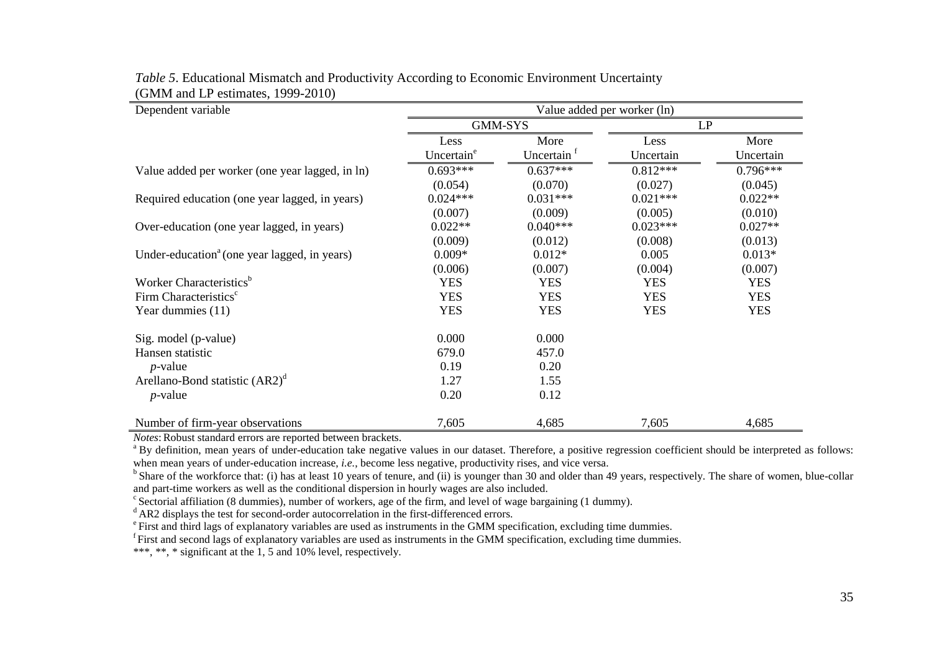| Dependent variable                                       | Value added per worker (ln) |                        |            |            |
|----------------------------------------------------------|-----------------------------|------------------------|------------|------------|
|                                                          | <b>GMM-SYS</b>              |                        | LP         |            |
|                                                          | Less                        | More                   | Less       | More       |
|                                                          | Uncertain <sup>e</sup>      | Uncertain <sup>f</sup> | Uncertain  | Uncertain  |
| Value added per worker (one year lagged, in ln)          | $0.693***$                  | $0.637***$             | $0.812***$ | $0.796***$ |
|                                                          | (0.054)                     | (0.070)                | (0.027)    | (0.045)    |
| Required education (one year lagged, in years)           | $0.024***$                  | $0.031***$             | $0.021***$ | $0.022**$  |
|                                                          | (0.007)                     | (0.009)                | (0.005)    | (0.010)    |
| Over-education (one year lagged, in years)               | $0.022**$                   | $0.040***$             | $0.023***$ | $0.027**$  |
|                                                          | (0.009)                     | (0.012)                | (0.008)    | (0.013)    |
| Under-education <sup>a</sup> (one year lagged, in years) | $0.009*$                    | $0.012*$               | 0.005      | $0.013*$   |
|                                                          | (0.006)                     | (0.007)                | (0.004)    | (0.007)    |
| Worker Characteristics <sup>b</sup>                      | <b>YES</b>                  | <b>YES</b>             | <b>YES</b> | <b>YES</b> |
| Firm Characteristics <sup>c</sup>                        | <b>YES</b>                  | <b>YES</b>             | <b>YES</b> | <b>YES</b> |
| Year dummies (11)                                        | <b>YES</b>                  | <b>YES</b>             | <b>YES</b> | <b>YES</b> |
| Sig. model (p-value)                                     | 0.000                       | 0.000                  |            |            |
| Hansen statistic                                         | 679.0                       | 457.0                  |            |            |
| $p$ -value                                               | 0.19                        | 0.20                   |            |            |
| Arellano-Bond statistic $(AR2)^d$                        | 1.27                        | 1.55                   |            |            |
| $p$ -value                                               | 0.20                        | 0.12                   |            |            |
| Number of firm-year observations                         | 7,605                       | 4,685                  | 7,605      | 4,685      |

### *Table 5*. Educational Mismatch and Productivity According to Economic Environment Uncertainty (GMM and LP estimates, 1999-2010)

Notes: Robust standard errors are reported between brackets.<br><sup>a</sup> By definition, mean years of under-education take negative values in our dataset. Therefore, a positive regression coefficient should be interpreted as follo

 $<sup>b</sup>$  Share of the workforce that: (i) has at least 10 years of tenure, and (ii) is younger than 30 and older than 49 years, respectively. The share of women, blue-collar and part-time workers as well as the conditiona</sup>

<sup>c</sup> Sectorial affiliation (8 dummies), number of workers, age of the firm, and level of wage bargaining (1 dummy).  $\frac{d}{d}$  AR2 displays the test for second-order autocorrelation in the first-differenced errors.

<sup>e</sup> First and third lags of explanatory variables are used as instruments in the GMM specification, excluding time dummies.<br><sup>f</sup> First and second lags of explanatory variables are used as instruments in the GMM specificatio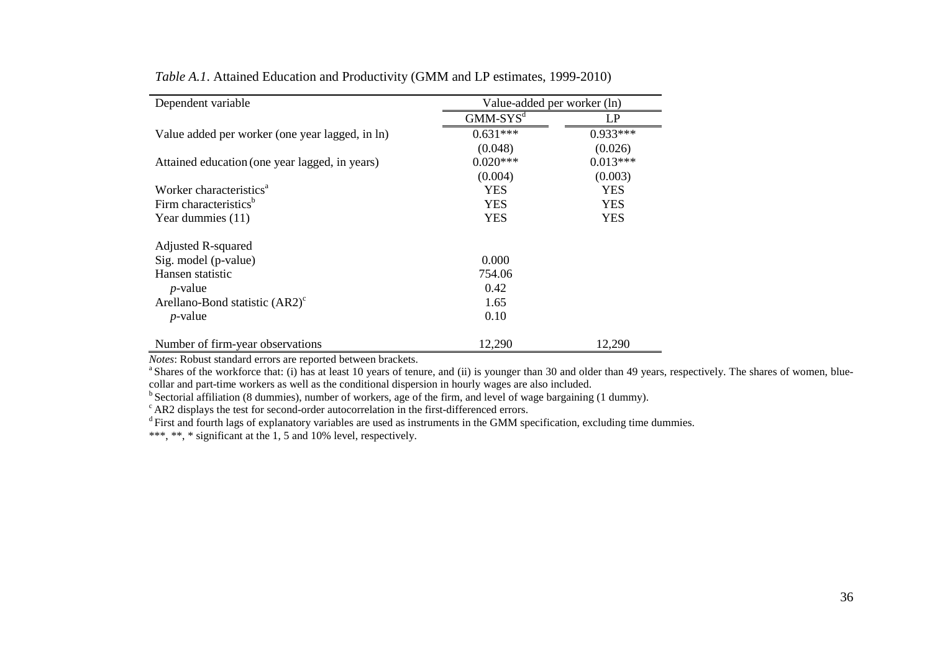| Dependent variable                              | Value-added per worker (ln) |            |
|-------------------------------------------------|-----------------------------|------------|
|                                                 | $GMM-SYSd$                  | LP         |
| Value added per worker (one year lagged, in ln) | $0.631***$                  | $0.933***$ |
|                                                 | (0.048)                     | (0.026)    |
| Attained education (one year lagged, in years)  | $0.020***$                  | $0.013***$ |
|                                                 | (0.004)                     | (0.003)    |
| Worker characteristics <sup>a</sup>             | <b>YES</b>                  | YES        |
| Firm characteristics <sup>b</sup>               | <b>YES</b>                  | <b>YES</b> |
| Year dummies $(11)$                             | <b>YES</b>                  | <b>YES</b> |
| <b>Adjusted R-squared</b>                       |                             |            |
| Sig. model (p-value)                            | 0.000                       |            |
| Hansen statistic                                | 754.06                      |            |
| $p$ -value                                      | 0.42                        |            |
| Arellano-Bond statistic $(AR2)^c$               | 1.65                        |            |
| $p$ -value                                      | 0.10                        |            |
| Number of firm-year observations                | 12,290                      | 12,290     |

*Table A.1*. Attained Education and Productivity (GMM and LP estimates, 1999-2010)

*Notes*: Robust standard errors are reported between brackets.<br><sup>a</sup> Shares of the workforce that: (i) has at least 10 years of tenure, and (ii) is younger than 30 and older than 49 years, respectively. The shares of women,

 $^{\circ}$  Sectorial affiliation (8 dummies), number of workers, age of the firm, and level of wage bargaining (1 dummy).<br>  $^{\circ}$  AR2 displays the test for second-order autocorrelation in the first-differenced errors.<br>
<sup>d</sup> Fi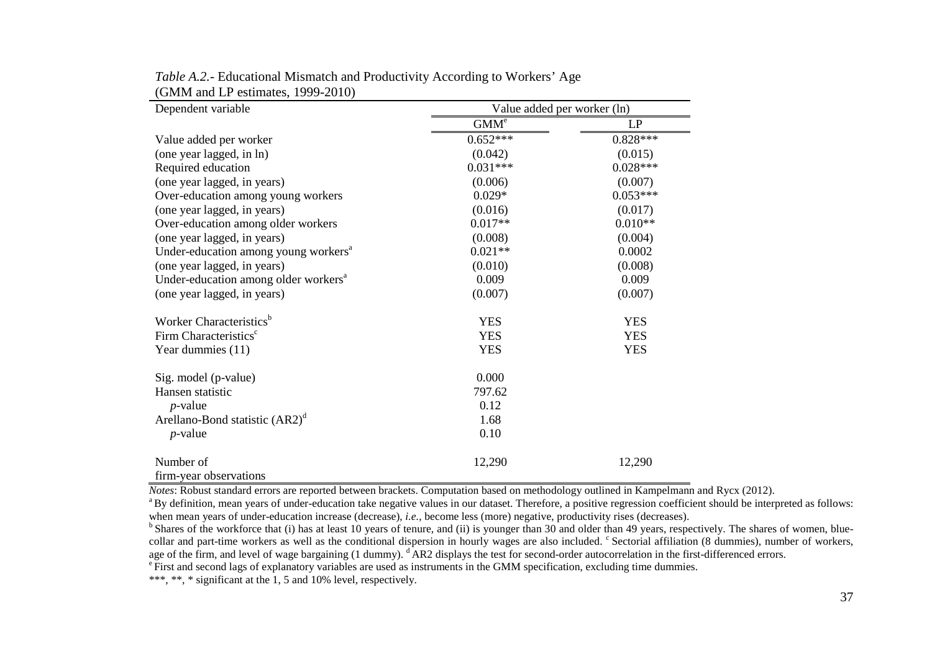| Dependent variable                               | Value added per worker (ln) |            |  |
|--------------------------------------------------|-----------------------------|------------|--|
|                                                  | $GMM^e$                     | LP         |  |
| Value added per worker                           | $0.652***$                  | $0.828***$ |  |
| (one year lagged, in ln)                         | (0.042)                     | (0.015)    |  |
| Required education                               | $0.031***$                  | $0.028***$ |  |
| (one year lagged, in years)                      | (0.006)                     | (0.007)    |  |
| Over-education among young workers               | $0.029*$                    | $0.053***$ |  |
| (one year lagged, in years)                      | (0.016)                     | (0.017)    |  |
| Over-education among older workers               | $0.017**$                   | $0.010**$  |  |
| (one year lagged, in years)                      | (0.008)                     | (0.004)    |  |
| Under-education among young workers <sup>a</sup> | $0.021**$                   | 0.0002     |  |
| (one year lagged, in years)                      | (0.010)                     | (0.008)    |  |
| Under-education among older workers <sup>a</sup> | 0.009                       | 0.009      |  |
| (one year lagged, in years)                      | (0.007)                     | (0.007)    |  |
| Worker Characteristics <sup>b</sup>              | <b>YES</b>                  | <b>YES</b> |  |
| Firm Characteristics <sup>c</sup>                | <b>YES</b>                  | <b>YES</b> |  |
| Year dummies $(11)$                              | <b>YES</b>                  | <b>YES</b> |  |
| Sig. model (p-value)                             | 0.000                       |            |  |
| Hansen statistic                                 | 797.62                      |            |  |
| $p$ -value                                       | 0.12                        |            |  |
| Arellano-Bond statistic $(AR2)^d$                | 1.68                        |            |  |
| $p$ -value                                       | 0.10                        |            |  |
| Number of                                        | 12,290                      | 12,290     |  |
| firm-year observations                           |                             |            |  |

*Table A.2.-* Educational Mismatch and Productivity According to Workers' Age (GMM and LP estimates, 1999-2010)

Notes: Robust standard errors are reported between brackets. Computation based on methodology outlined in Kampelmann and Rycx (2012).<br><sup>a</sup> By definition, mean years of under-education take negative values in our dataset. Th when mean years of under-education increase (decrease), *i.e.*, become less (more) negative, productivity rises (decreases).<br><sup>b</sup> Shares of the workforce that (i) has at least 10 years of tenure, and (ii) is younger than 30

collar and part-time workers as well as the conditional dispersion in hourly wages are also included. <sup>c</sup> Sectorial affiliation (8 dummies), number of workers, age of the firm, and level of wage bargaining (1 dummy). <sup>d</sup>AR2 displays the test for second-order autocorrelation in the first-differenced errors.<br><sup>e</sup> First and second lags of explanatory variables are used as instruments